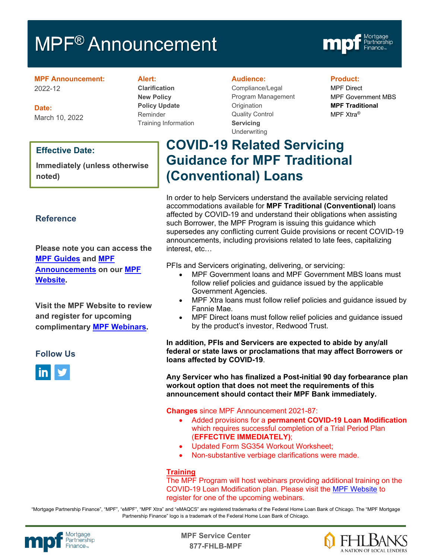# MPF<sup>®</sup> Announcement



**MPF Announcement:** 2022-12

**Date:** March 10, 2022

#### **Effective Date:**

**Immediately (unless otherwise noted)**

### **Reference**

**Please note you can access the [MPF Guides](https://fhlbmpf.com/mpf-guides/guides) and [MPF](https://fhlbmpf.com/mpf-guides/announcements)  [Announcements](https://fhlbmpf.com/mpf-guides/announcements) on our [MPF](https://fhlbmpf.com/)  [Website.](https://fhlbmpf.com/)** 

**Visit the MPF Website to review and register for upcoming complimentary [MPF Webinars.](https://www.fhlbmpf.com/education/upcoming-webinars)**

#### **Follow Us**



#### **Alert:**

**Clarification New Policy Policy Update** Reminder Training Information

#### **Audience:**

Compliance/Legal Program Management **Origination** Quality Control **Servicing Underwriting** 

#### **Product:**

MPF Direct MPF Government MBS **MPF Traditional** MPF Xtra®

# **COVID-19 Related Servicing Guidance for MPF Traditional (Conventional) Loans**

In order to help Servicers understand the available servicing related accommodations available for **MPF Traditional (Conventional)** loans affected by COVID-19 and understand their obligations when assisting such Borrower, the MPF Program is issuing this guidance which supersedes any conflicting current Guide provisions or recent COVID-19 announcements, including provisions related to late fees, capitalizing interest, etc…

PFIs and Servicers originating, delivering, or servicing:

- MPF Government loans and MPF Government MBS loans must follow relief policies and guidance issued by the applicable Government Agencies.
- MPF Xtra loans must follow relief policies and guidance issued by Fannie Mae.
- MPF Direct loans must follow relief policies and guidance issued by the product's investor, Redwood Trust.

**In addition, PFIs and Servicers are expected to abide by any/all federal or state laws or proclamations that may affect Borrowers or loans affected by COVID-19**.

**Any Servicer who has finalized a Post-initial 90 day forbearance plan workout option that does not meet the requirements of this announcement should contact their MPF Bank immediately.**

**Changes** since MPF Announcement 2021-87:

- Added provisions for a **permanent COVID-19 Loan Modification** which requires successful completion of a Trial Period Plan (**EFFECTIVE IMMEDIATELY)**;
- Updated Form SG354 Workout Worksheet;
- Non-substantive verbiage clarifications were made.

#### **Training**

The MPF Program will host webinars providing additional training on the COVID-19 Loan Modification plan. Please visit the [MPF Website](https://www.fhlbmpf.com/education/upcoming-webinars) to register for one of the upcoming webinars.

"Mortgage Partnership Finance", "MPF", "eMPF", "MPF Xtra" and "eMAQCS" are registered trademarks of the Federal Home Loan Bank of Chicago. The "MPF Mortgage Partnership Finance" logo is a trademark of the Federal Home Loan Bank of Chicago.



Mortgage **Canadian Control Center**<br>Partnership **877-FHLB-MPF**

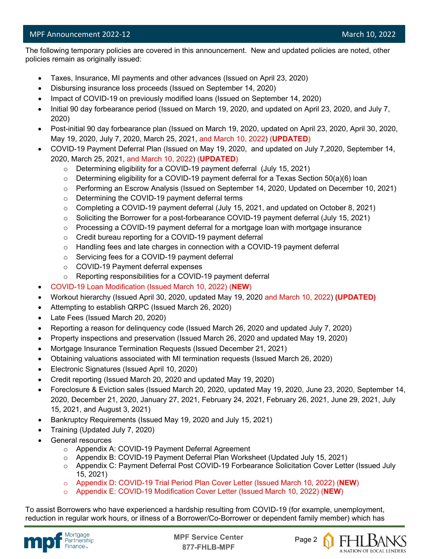l

 The following temporary policies are covered in this announcement. New and updated policies are noted, other policies remain as originally issued:

- Taxes, Insurance, MI payments and other advances (Issued on April 23, 2020)
- Disbursing insurance loss proceeds (Issued on September 14, 2020)
- Impact of COVID-19 on previously modified loans (Issued on September 14, 2020)
- Initial 90 day forbearance period (Issued on March 19, 2020, and updated on April 23, 2020, and July 7, 2020)
- Post-initial 90 day forbearance plan (Issued on March 19, 2020, updated on April 23, 2020, April 30, 2020, May 19, 2020, July 7, 2020, March 25, 2021, and March 10, 2022) (**UPDATED**)
- COVID-19 Payment Deferral Plan (Issued on May 19, 2020, and updated on July 7,2020, September 14, 2020, March 25, 2021, and March 10, 2022) (**UPDATED**)
	- o Determining eligibility for a COVID-19 payment deferral (July 15, 2021)
	- o Determining eligibility for a COVID-19 payment deferral for a Texas Section 50(a)(6) loan
	- o Performing an Escrow Analysis (Issued on September 14, 2020, Updated on December 10, 2021)
	- o Determining the COVID-19 payment deferral terms
	- $\circ$  Completing a COVID-19 payment deferral (July 15, 2021, and updated on October 8, 2021)
	- o Soliciting the Borrower for a post-forbearance COVID-19 payment deferral (July 15, 2021)
	- $\circ$  Processing a COVID-19 payment deferral for a mortgage loan with mortgage insurance
	- o Credit bureau reporting for a COVID-19 payment deferral
	- $\circ$  Handling fees and late charges in connection with a COVID-19 payment deferral
	- o Servicing fees for a COVID-19 payment deferral
	- o COVID-19 Payment deferral expenses
	- o Reporting responsibilities for a COVID-19 payment deferral
- COVID-19 Loan Modification (Issued March 10, 2022) (**NEW**)
- Workout hierarchy (Issued April 30, 2020, updated May 19, 2020 and March 10, 2022) **(UPDATED)**
- Attempting to establish QRPC (Issued March 26, 2020)
- Late Fees (Issued March 20, 2020)
- Reporting a reason for delinquency code (Issued March 26, 2020 and updated July 7, 2020)
- Property inspections and preservation (Issued March 26, 2020 and updated May 19, 2020)
- Mortgage Insurance Termination Requests (Issued December 21, 2021)
- Obtaining valuations associated with MI termination requests (Issued March 26, 2020)
- Electronic Signatures (Issued April 10, 2020)
- Credit reporting (Issued March 20, 2020 and updated May 19, 2020)
- Foreclosure & Eviction sales (Issued March 20, 2020, updated May 19, 2020, June 23, 2020, September 14, 2020, December 21, 2020, January 27, 2021, February 24, 2021, February 26, 2021, June 29, 2021, July 15, 2021, and August 3, 2021)
- Bankruptcy Requirements (Issued May 19, 2020 and July 15, 2021)
- Training (Updated July 7, 2020)
- General resources
	- o Appendix A: COVID-19 Payment Deferral Agreement
	- o Appendix B: COVID-19 Payment Deferral Plan Worksheet (Updated July 15, 2021)
	- o Appendix C: Payment Deferral Post COVID-19 Forbearance Solicitation Cover Letter (Issued July 15, 2021)
	- o Appendix D: COVID-19 Trial Period Plan Cover Letter (Issued March 10, 2022) (**NEW**)
	- o Appendix E: COVID-19 Modification Cover Letter (Issued March 10, 2022) (**NEW**)

To assist Borrowers who have experienced a hardship resulting from COVID-19 (for example, unemployment, reduction in regular work hours, or illness of a Borrower/Co-Borrower or dependent family member) which has





A NATION OF LOCAL LENDERS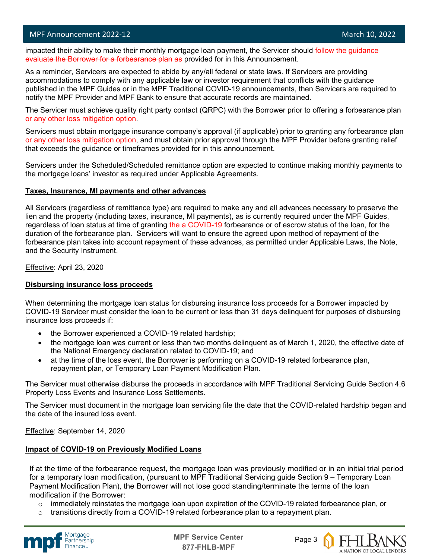#### MPF Announcement 2022-12 and the control of the control of the control of the control of the March 10, 2022

l

impacted their ability to make their monthly mortgage loan payment, the Servicer should follow the guidance evaluate the Borrower for a forbearance plan as provided for in this Announcement.

As a reminder, Servicers are expected to abide by any/all federal or state laws. If Servicers are providing accommodations to comply with any applicable law or investor requirement that conflicts with the guidance published in the MPF Guides or in the MPF Traditional COVID-19 announcements, then Servicers are required to notify the MPF Provider and MPF Bank to ensure that accurate records are maintained.

The Servicer must achieve quality right party contact (QRPC) with the Borrower prior to offering a forbearance plan or any other loss mitigation option.

Servicers must obtain mortgage insurance company's approval (if applicable) prior to granting any forbearance plan or any other loss mitigation option, and must obtain prior approval through the MPF Provider before granting relief that exceeds the guidance or timeframes provided for in this announcement.

Servicers under the Scheduled/Scheduled remittance option are expected to continue making monthly payments to the mortgage loans' investor as required under Applicable Agreements.

#### **Taxes, Insurance, MI payments and other advances**

All Servicers (regardless of remittance type) are required to make any and all advances necessary to preserve the lien and the property (including taxes, insurance, MI payments), as is currently required under the MPF Guides, regardless of loan status at time of granting the a COVID-19 forbearance or of escrow status of the loan, for the duration of the forbearance plan. Servicers will want to ensure the agreed upon method of repayment of the forbearance plan takes into account repayment of these advances, as permitted under Applicable Laws, the Note, and the Security Instrument.

Effective: April 23, 2020

#### **Disbursing insurance loss proceeds**

When determining the mortgage loan status for disbursing insurance loss proceeds for a Borrower impacted by COVID-19 Servicer must consider the loan to be current or less than 31 days delinquent for purposes of disbursing insurance loss proceeds if:

- the Borrower experienced a COVID-19 related hardship;
- the mortgage loan was current or less than two months delinquent as of March 1, 2020, the effective date of the National Emergency declaration related to COVID-19; and
- at the time of the loss event, the Borrower is performing on a COVID-19 related forbearance plan, repayment plan, or Temporary Loan Payment Modification Plan.

The Servicer must otherwise disburse the proceeds in accordance with MPF Traditional Servicing Guide Section 4.6 Property Loss Events and Insurance Loss Settlements.

The Servicer must document in the mortgage loan servicing file the date that the COVID-related hardship began and the date of the insured loss event.

Effective: September 14, 2020

#### **Impact of COVID-19 on Previously Modified Loans**

If at the time of the forbearance request, the mortgage loan was previously modified or in an initial trial period for a temporary loan modification, (pursuant to MPF Traditional Servicing guide Section 9 – Temporary Loan Payment Modification Plan), the Borrower will not lose good standing/terminate the terms of the loan modification if the Borrower:

- $\circ$  immediately reinstates the mortgage loan upon expiration of the COVID-19 related forbearance plan, or
- transitions directly from a COVID-19 related forbearance plan to a repayment plan.



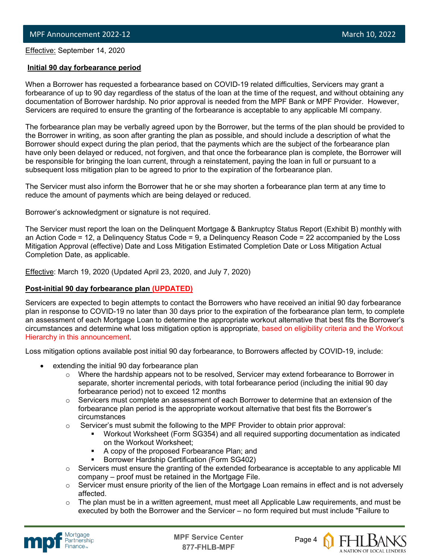Effective: September 14, 2020

l

#### **Initial 90 day forbearance period**

When a Borrower has requested a forbearance based on COVID-19 related difficulties, Servicers may grant a forbearance of up to 90 day regardless of the status of the loan at the time of the request, and without obtaining any documentation of Borrower hardship. No prior approval is needed from the MPF Bank or MPF Provider. However, Servicers are required to ensure the granting of the forbearance is acceptable to any applicable MI company.

The forbearance plan may be verbally agreed upon by the Borrower, but the terms of the plan should be provided to the Borrower in writing, as soon after granting the plan as possible, and should include a description of what the Borrower should expect during the plan period, that the payments which are the subject of the forbearance plan have only been delayed or reduced, not forgiven, and that once the forbearance plan is complete, the Borrower will be responsible for bringing the loan current, through a reinstatement, paying the loan in full or pursuant to a subsequent loss mitigation plan to be agreed to prior to the expiration of the forbearance plan.

The Servicer must also inform the Borrower that he or she may shorten a forbearance plan term at any time to reduce the amount of payments which are being delayed or reduced.

Borrower's acknowledgment or signature is not required.

The Servicer must report the loan on the Delinquent Mortgage & Bankruptcy Status Report (Exhibit B) monthly with an Action Code = 12, a Delinquency Status Code = 9, a Delinquency Reason Code = 22 accompanied by the Loss Mitigation Approval (effective) Date and Loss Mitigation Estimated Completion Date or Loss Mitigation Actual Completion Date, as applicable.

Effective: March 19, 2020 (Updated April 23, 2020, and July 7, 2020)

#### **Post-initial 90 day forbearance plan (UPDATED)**

Servicers are expected to begin attempts to contact the Borrowers who have received an initial 90 day forbearance plan in response to COVID-19 no later than 30 days prior to the expiration of the forbearance plan term, to complete an assessment of each Mortgage Loan to determine the appropriate workout alternative that best fits the Borrower's circumstances and determine what loss mitigation option is appropriate, based on eligibility criteria and the Workout Hierarchy in this announcement.

Loss mitigation options available post initial 90 day forbearance, to Borrowers affected by COVID-19, include:

- extending the initial 90 day forbearance plan
	- $\circ$  Where the hardship appears not to be resolved, Servicer may extend forbearance to Borrower in separate, shorter incremental periods, with total forbearance period (including the initial 90 day forbearance period) not to exceed 12 months
	- $\circ$  Servicers must complete an assessment of each Borrower to determine that an extension of the forbearance plan period is the appropriate workout alternative that best fits the Borrower's circumstances
	- $\circ$  Servicer's must submit the following to the MPF Provider to obtain prior approval:
		- Workout Worksheet (Form SG354) and all required supporting documentation as indicated on the Workout Worksheet;
		- A copy of the proposed Forbearance Plan; and
		- Borrower Hardship Certification (Form SG402)
	- o Servicers must ensure the granting of the extended forbearance is acceptable to any applicable MI company – proof must be retained in the Mortgage File.
	- $\circ$  Servicer must ensure priority of the lien of the Mortgage Loan remains in effect and is not adversely affected.
	- $\circ$  The plan must be in a written agreement, must meet all Applicable Law requirements, and must be executed by both the Borrower and the Servicer – no form required but must include "Failure to





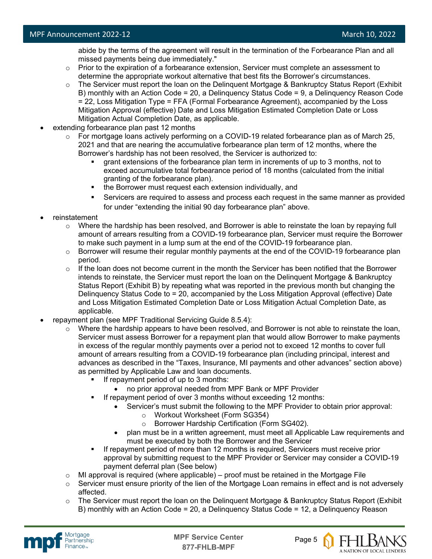abide by the terms of the agreement will result in the termination of the Forbearance Plan and all missed payments being due immediately."

- $\circ$  Prior to the expiration of a forbearance extension, Servicer must complete an assessment to determine the appropriate workout alternative that best fits the Borrower's circumstances.
- o The Servicer must report the loan on the Delinquent Mortgage & Bankruptcy Status Report (Exhibit B) monthly with an Action Code = 20, a Delinquency Status Code = 9, a Delinquency Reason Code = 22, Loss Mitigation Type = FFA (Formal Forbearance Agreement), accompanied by the Loss Mitigation Approval (effective) Date and Loss Mitigation Estimated Completion Date or Loss Mitigation Actual Completion Date, as applicable.
- extending forbearance plan past 12 months
	- o For mortgage loans actively performing on a COVID-19 related forbearance plan as of March 25, 2021 and that are nearing the accumulative forbearance plan term of 12 months, where the Borrower's hardship has not been resolved, the Servicer is authorized to:
		- grant extensions of the forbearance plan term in increments of up to 3 months, not to exceed accumulative total forbearance period of 18 months (calculated from the initial granting of the forbearance plan).
		- the Borrower must request each extension individually, and
		- Servicers are required to assess and process each request in the same manner as provided for under "extending the initial 90 day forbearance plan" above.
- reinstatement
	- $\circ$  Where the hardship has been resolved, and Borrower is able to reinstate the loan by repaying full amount of arrears resulting from a COVID-19 forbearance plan, Servicer must require the Borrower to make such payment in a lump sum at the end of the COVID-19 forbearance plan.
	- $\circ$  Borrower will resume their regular monthly payments at the end of the COVID-19 forbearance plan period.
	- $\circ$  If the loan does not become current in the month the Servicer has been notified that the Borrower intends to reinstate, the Servicer must report the loan on the Delinquent Mortgage & Bankruptcy Status Report (Exhibit B) by repeating what was reported in the previous month but changing the Delinquency Status Code to = 20, accompanied by the Loss Mitigation Approval (effective) Date and Loss Mitigation Estimated Completion Date or Loss Mitigation Actual Completion Date, as applicable.
- repayment plan (see MPF Traditional Servicing Guide 8.5.4):
	- $\circ$  Where the hardship appears to have been resolved, and Borrower is not able to reinstate the loan, Servicer must assess Borrower for a repayment plan that would allow Borrower to make payments in excess of the regular monthly payments over a period not to exceed 12 months to cover full amount of arrears resulting from a COVID-19 forbearance plan (including principal, interest and advances as described in the "Taxes, Insurance, MI payments and other advances" section above) as permitted by Applicable Law and loan documents.
		- If repayment period of up to 3 months:
			- no prior approval needed from MPF Bank or MPF Provider
		- If repayment period of over 3 months without exceeding 12 months:
			- Servicer's must submit the following to the MPF Provider to obtain prior approval:
				- o Workout Worksheet (Form SG354)
				- o Borrower Hardship Certification (Form SG402).
			- plan must be in a written agreement, must meet all Applicable Law requirements and must be executed by both the Borrower and the Servicer
		- If repayment period of more than 12 months is required, Servicers must receive prior approval by submitting request to the MPF Provider or Servicer may consider a COVID-19 payment deferral plan (See below)
	- $\circ$  MI approval is required (where applicable) proof must be retained in the Mortgage File
	- $\circ$  Servicer must ensure priority of the lien of the Mortgage Loan remains in effect and is not adversely affected.
	- $\circ$  The Servicer must report the loan on the Delinquent Mortgage & Bankruptcy Status Report (Exhibit B) monthly with an Action Code = 20, a Delinquency Status Code = 12, a Delinquency Reason





A NATION OF LOCAL LENDERS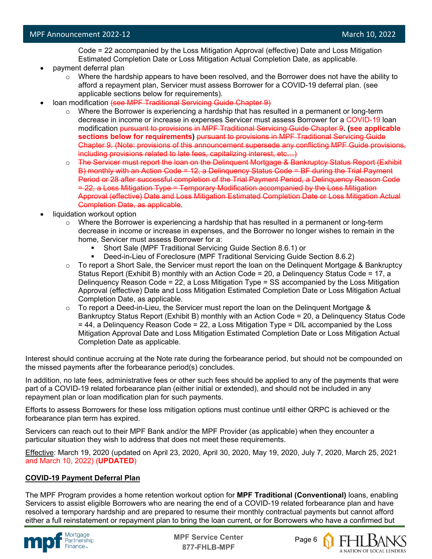Code = 22 accompanied by the Loss Mitigation Approval (effective) Date and Loss Mitigation Estimated Completion Date or Loss Mitigation Actual Completion Date, as applicable.

- payment deferral plan
	- $\circ$  Where the hardship appears to have been resolved, and the Borrower does not have the ability to afford a repayment plan, Servicer must assess Borrower for a COVID-19 deferral plan. (see applicable sections below for requirements).
- loan modification (see MPF Traditional Servicing Guide Chapter 9)
	- $\circ$  Where the Borrower is experiencing a hardship that has resulted in a permanent or long-term decrease in income or increase in expenses Servicer must assess Borrower for a COVID-19 loan modification pursuant to provisions in MPF Traditional Servicing Guide Chapter 9**. (see applicable sections below for requirements)** pursuant to provisions in MPF Traditional Servicing Guide Chapter 9. (Note: provisions of this announcement supersede any conflicting MPF Guide provisions, including provisions related to late fees, capitalizing interest, etc…)
	- o The Servicer must report the loan on the Delinquent Mortgage & Bankruptcy Status Report (Exhibit B) monthly with an Action Code = 12, a Delinquency Status Code = BF during the Trial Payment Period or 28 after successful completion of the Trial Payment Period, a Delinquency Reason Code = 22, a Loss Mitigation Type = Temporary Modification accompanied by the Loss Mitigation Approval (effective) Date and Loss Mitigation Estimated Completion Date or Loss Mitigation Actual Completion Date, as applicable.
- liquidation workout option
	- $\circ$  Where the Borrower is experiencing a hardship that has resulted in a permanent or long-term decrease in income or increase in expenses, and the Borrower no longer wishes to remain in the home, Servicer must assess Borrower for a:
		- Short Sale (MPF Traditional Servicing Guide Section 8.6.1) or
		- Deed-in-Lieu of Foreclosure (MPF Traditional Servicing Guide Section 8.6.2)
	- $\circ$  To report a Short Sale, the Servicer must report the loan on the Delinquent Mortgage & Bankruptcy Status Report (Exhibit B) monthly with an Action Code = 20, a Delinquency Status Code = 17, a Delinquency Reason Code = 22, a Loss Mitigation Type = SS accompanied by the Loss Mitigation Approval (effective) Date and Loss Mitigation Estimated Completion Date or Loss Mitigation Actual Completion Date, as applicable.
	- $\circ$  To report a Deed-in-Lieu, the Servicer must report the loan on the Delinguent Mortgage & Bankruptcy Status Report (Exhibit B) monthly with an Action Code = 20, a Delinquency Status Code = 44, a Delinquency Reason Code = 22, a Loss Mitigation Type = DIL accompanied by the Loss Mitigation Approval Date and Loss Mitigation Estimated Completion Date or Loss Mitigation Actual Completion Date as applicable.

Interest should continue accruing at the Note rate during the forbearance period, but should not be compounded on the missed payments after the forbearance period(s) concludes.

In addition, no late fees, administrative fees or other such fees should be applied to any of the payments that were part of a COVID-19 related forbearance plan (either initial or extended), and should not be included in any repayment plan or loan modification plan for such payments.

Efforts to assess Borrowers for these loss mitigation options must continue until either QRPC is achieved or the forbearance plan term has expired.

Servicers can reach out to their MPF Bank and/or the MPF Provider (as applicable) when they encounter a particular situation they wish to address that does not meet these requirements.

Effective: March 19, 2020 (updated on April 23, 2020, April 30, 2020, May 19, 2020, July 7, 2020, March 25, 2021 and March 10, 2022) (**UPDATED**)

#### **COVID-19 Payment Deferral Plan**

The MPF Program provides a home retention workout option for **MPF Traditional (Conventional)** loans, enabling Servicers to assist eligible Borrowers who are nearing the end of a COVID-19 related forbearance plan and have resolved a temporary hardship and are prepared to resume their monthly contractual payments but cannot afford either a full reinstatement or repayment plan to bring the loan current, or for Borrowers who have a confirmed but





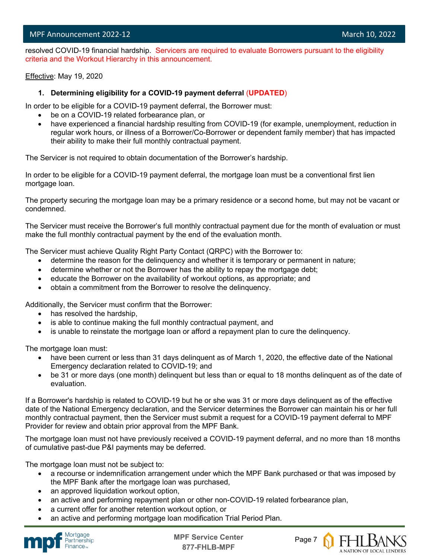l resolved COVID-19 financial hardship. Servicers are required to evaluate Borrowers pursuant to the eligibility criteria and the Workout Hierarchy in this announcement.

Effective: May 19, 2020

#### **1. Determining eligibility for a COVID-19 payment deferral** (**UPDATED**)

In order to be eligible for a COVID-19 payment deferral, the Borrower must:

- be on a COVID-19 related forbearance plan, or
- have experienced a financial hardship resulting from COVID-19 (for example, unemployment, reduction in regular work hours, or illness of a Borrower/Co-Borrower or dependent family member) that has impacted their ability to make their full monthly contractual payment.

The Servicer is not required to obtain documentation of the Borrower's hardship.

In order to be eligible for a COVID-19 payment deferral, the mortgage loan must be a conventional first lien mortgage loan.

The property securing the mortgage loan may be a primary residence or a second home, but may not be vacant or condemned.

The Servicer must receive the Borrower's full monthly contractual payment due for the month of evaluation or must make the full monthly contractual payment by the end of the evaluation month.

The Servicer must achieve Quality Right Party Contact (QRPC) with the Borrower to:

- determine the reason for the delinquency and whether it is temporary or permanent in nature;
- determine whether or not the Borrower has the ability to repay the mortgage debt;
- educate the Borrower on the availability of workout options, as appropriate; and
- obtain a commitment from the Borrower to resolve the delinquency.

Additionally, the Servicer must confirm that the Borrower:

- has resolved the hardship,
- is able to continue making the full monthly contractual payment, and
- is unable to reinstate the mortgage loan or afford a repayment plan to cure the delinquency.

The mortgage loan must:

- have been current or less than 31 days delinquent as of March 1, 2020, the effective date of the National Emergency declaration related to COVID-19; and
- be 31 or more days (one month) delinquent but less than or equal to 18 months delinquent as of the date of evaluation.

If a Borrower's hardship is related to COVID-19 but he or she was 31 or more days delinquent as of the effective date of the National Emergency declaration, and the Servicer determines the Borrower can maintain his or her full monthly contractual payment, then the Servicer must submit a request for a COVID-19 payment deferral to MPF Provider for review and obtain prior approval from the MPF Bank.

The mortgage loan must not have previously received a COVID-19 payment deferral, and no more than 18 months of cumulative past-due P&I payments may be deferred.

The mortgage loan must not be subject to:

- a recourse or indemnification arrangement under which the MPF Bank purchased or that was imposed by the MPF Bank after the mortgage loan was purchased,
- an approved liquidation workout option,
- an active and performing repayment plan or other non-COVID-19 related forbearance plan,
- a current offer for another retention workout option, or
- an active and performing mortgage loan modification Trial Period Plan.



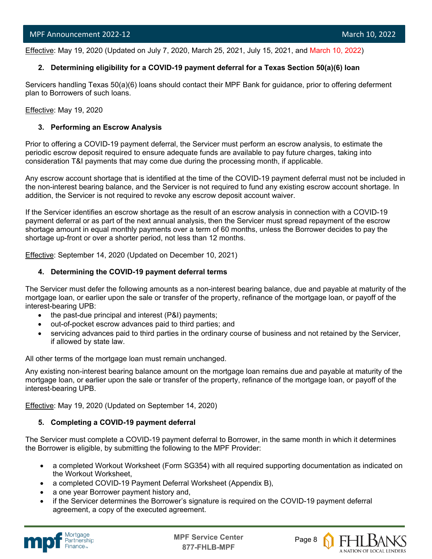l Effective: May 19, 2020 (Updated on July 7, 2020, March 25, 2021, July 15, 2021, and March 10, 2022)

#### **2. Determining eligibility for a COVID-19 payment deferral for a Texas Section 50(a)(6) loan**

Servicers handling Texas 50(a)(6) loans should contact their MPF Bank for guidance, prior to offering deferment plan to Borrowers of such loans.

Effective: May 19, 2020

#### **3. Performing an Escrow Analysis**

Prior to offering a COVID-19 payment deferral, the Servicer must perform an escrow analysis, to estimate the periodic escrow deposit required to ensure adequate funds are available to pay future charges, taking into consideration T&I payments that may come due during the processing month, if applicable.

Any escrow account shortage that is identified at the time of the COVID-19 payment deferral must not be included in the non-interest bearing balance, and the Servicer is not required to fund any existing escrow account shortage. In addition, the Servicer is not required to revoke any escrow deposit account waiver.

If the Servicer identifies an escrow shortage as the result of an escrow analysis in connection with a COVID-19 payment deferral or as part of the next annual analysis, then the Servicer must spread repayment of the escrow shortage amount in equal monthly payments over a term of 60 months, unless the Borrower decides to pay the shortage up-front or over a shorter period, not less than 12 months.

Effective: September 14, 2020 (Updated on December 10, 2021)

#### **4. Determining the COVID-19 payment deferral terms**

The Servicer must defer the following amounts as a non-interest bearing balance, due and payable at maturity of the mortgage loan, or earlier upon the sale or transfer of the property, refinance of the mortgage loan, or payoff of the interest-bearing UPB:

- the past-due principal and interest (P&I) payments;
- out-of-pocket escrow advances paid to third parties; and
- servicing advances paid to third parties in the ordinary course of business and not retained by the Servicer, if allowed by state law.

All other terms of the mortgage loan must remain unchanged.

Any existing non-interest bearing balance amount on the mortgage loan remains due and payable at maturity of the mortgage loan, or earlier upon the sale or transfer of the property, refinance of the mortgage loan, or payoff of the interest-bearing UPB.

Effective: May 19, 2020 (Updated on September 14, 2020)

#### **5. Completing a COVID-19 payment deferral**

The Servicer must complete a COVID-19 payment deferral to Borrower, in the same month in which it determines the Borrower is eligible, by submitting the following to the MPF Provider:

- a completed Workout Worksheet (Form SG354) with all required supporting documentation as indicated on the Workout Worksheet,
- a completed COVID-19 Payment Deferral Worksheet (Appendix B),
- a one year Borrower payment history and,
- if the Servicer determines the Borrower's signature is required on the COVID-19 payment deferral agreement, a copy of the executed agreement.



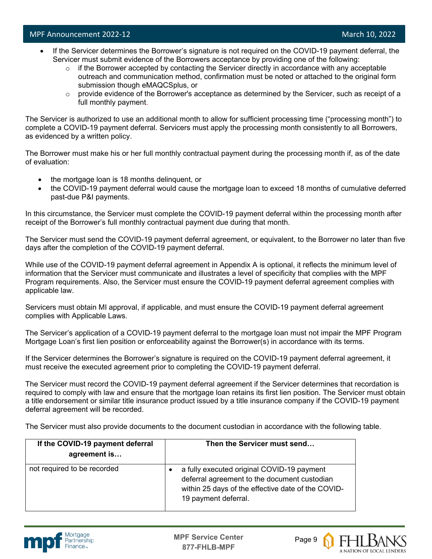- If the Servicer determines the Borrower's signature is not required on the COVID-19 payment deferral, the Servicer must submit evidence of the Borrowers acceptance by providing one of the following:
	- $\circ$  if the Borrower accepted by contacting the Servicer directly in accordance with any acceptable outreach and communication method, confirmation must be noted or attached to the original form submission though eMAQCSplus, or
	- $\circ$  provide evidence of the Borrower's acceptance as determined by the Servicer, such as receipt of a full monthly payment.

The Servicer is authorized to use an additional month to allow for sufficient processing time ("processing month") to complete a COVID-19 payment deferral. Servicers must apply the processing month consistently to all Borrowers, as evidenced by a written policy.

The Borrower must make his or her full monthly contractual payment during the processing month if, as of the date of evaluation:

- the mortgage loan is 18 months delinquent, or
- the COVID-19 payment deferral would cause the mortgage loan to exceed 18 months of cumulative deferred past-due P&I payments.

In this circumstance, the Servicer must complete the COVID-19 payment deferral within the processing month after receipt of the Borrower's full monthly contractual payment due during that month.

The Servicer must send the COVID-19 payment deferral agreement, or equivalent, to the Borrower no later than five days after the completion of the COVID-19 payment deferral.

While use of the COVID-19 payment deferral agreement in Appendix A is optional, it reflects the minimum level of information that the Servicer must communicate and illustrates a level of specificity that complies with the MPF Program requirements. Also, the Servicer must ensure the COVID-19 payment deferral agreement complies with applicable law.

Servicers must obtain MI approval, if applicable, and must ensure the COVID-19 payment deferral agreement complies with Applicable Laws.

The Servicer's application of a COVID-19 payment deferral to the mortgage loan must not impair the MPF Program Mortgage Loan's first lien position or enforceability against the Borrower(s) in accordance with its terms.

If the Servicer determines the Borrower's signature is required on the COVID-19 payment deferral agreement, it must receive the executed agreement prior to completing the COVID-19 payment deferral.

The Servicer must record the COVID-19 payment deferral agreement if the Servicer determines that recordation is required to comply with law and ensure that the mortgage loan retains its first lien position. The Servicer must obtain a title endorsement or similar title insurance product issued by a title insurance company if the COVID-19 payment deferral agreement will be recorded.

The Servicer must also provide documents to the document custodian in accordance with the following table.

| If the COVID-19 payment deferral<br>agreement is | Then the Servicer must send                                                                                                                                              |
|--------------------------------------------------|--------------------------------------------------------------------------------------------------------------------------------------------------------------------------|
| not required to be recorded                      | a fully executed original COVID-19 payment<br>deferral agreement to the document custodian<br>within 25 days of the effective date of the COVID-<br>19 payment deferral. |



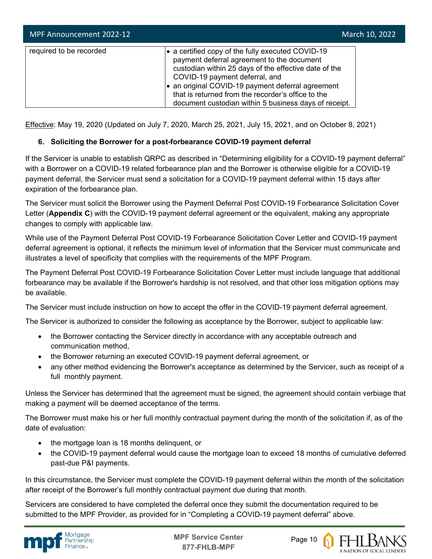| MPF Announcement 2022-12 | March 10, 2022                                                                                                                                                                                                                                                                                                                                               |
|--------------------------|--------------------------------------------------------------------------------------------------------------------------------------------------------------------------------------------------------------------------------------------------------------------------------------------------------------------------------------------------------------|
| required to be recorded  | • a certified copy of the fully executed COVID-19<br>payment deferral agreement to the document<br>custodian within 25 days of the effective date of the<br>COVID-19 payment deferral, and<br>an original COVID-19 payment deferral agreement<br>that is returned from the recorder's office to the<br>document custodian within 5 business days of receipt. |

Effective: May 19, 2020 (Updated on July 7, 2020, March 25, 2021, July 15, 2021, and on October 8, 2021)

### **6. Soliciting the Borrower for a post-forbearance COVID-19 payment deferral**

If the Servicer is unable to establish QRPC as described in "Determining eligibility for a COVID-19 payment deferral" with a Borrower on a COVID-19 related forbearance plan and the Borrower is otherwise eligible for a COVID-19 payment deferral, the Servicer must send a solicitation for a COVID-19 payment deferral within 15 days after expiration of the forbearance plan.

The Servicer must solicit the Borrower using the Payment Deferral Post COVID-19 Forbearance Solicitation Cover Letter (**Appendix C**) with the COVID-19 payment deferral agreement or the equivalent, making any appropriate changes to comply with applicable law.

While use of the Payment Deferral Post COVID-19 Forbearance Solicitation Cover Letter and COVID-19 payment deferral agreement is optional, it reflects the minimum level of information that the Servicer must communicate and illustrates a level of specificity that complies with the requirements of the MPF Program.

The Payment Deferral Post COVID-19 Forbearance Solicitation Cover Letter must include language that additional forbearance may be available if the Borrower's hardship is not resolved, and that other loss mitigation options may be available.

The Servicer must include instruction on how to accept the offer in the COVID-19 payment deferral agreement.

The Servicer is authorized to consider the following as acceptance by the Borrower, subject to applicable law:

- the Borrower contacting the Servicer directly in accordance with any acceptable outreach and communication method,
- the Borrower returning an executed COVID-19 payment deferral agreement, or
- any other method evidencing the Borrower's acceptance as determined by the Servicer, such as receipt of a full monthly payment.

Unless the Servicer has determined that the agreement must be signed, the agreement should contain verbiage that making a payment will be deemed acceptance of the terms.

The Borrower must make his or her full monthly contractual payment during the month of the solicitation if, as of the date of evaluation:

- the mortgage loan is 18 months delinquent, or
- the COVID-19 payment deferral would cause the mortgage loan to exceed 18 months of cumulative deferred past-due P&I payments.

In this circumstance, the Servicer must complete the COVID-19 payment deferral within the month of the solicitation after receipt of the Borrower's full monthly contractual payment due during that month.

Servicers are considered to have completed the deferral once they submit the documentation required to be submitted to the MPF Provider, as provided for in "Completing a COVID-19 payment deferral" above.



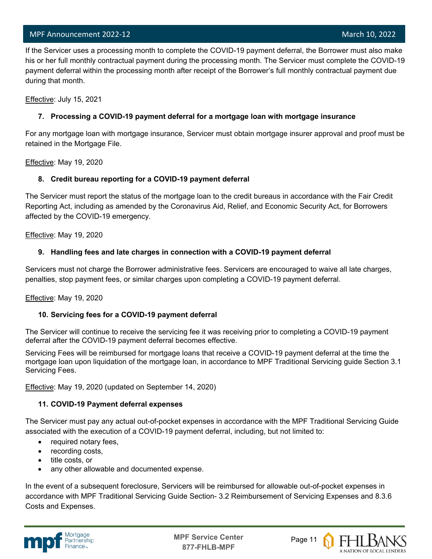#### MPF Announcement 2022-12 and the control of the control of the control of the control of the March 10, 2022

 If the Servicer uses a processing month to complete the COVID-19 payment deferral, the Borrower must also make his or her full monthly contractual payment during the processing month. The Servicer must complete the COVID-19 payment deferral within the processing month after receipt of the Borrower's full monthly contractual payment due during that month.

Effective: July 15, 2021

l

#### **7. Processing a COVID-19 payment deferral for a mortgage loan with mortgage insurance**

For any mortgage loan with mortgage insurance, Servicer must obtain mortgage insurer approval and proof must be retained in the Mortgage File.

Effective: May 19, 2020

#### **8. Credit bureau reporting for a COVID-19 payment deferral**

The Servicer must report the status of the mortgage loan to the credit bureaus in accordance with the Fair Credit Reporting Act, including as amended by the Coronavirus Aid, Relief, and Economic Security Act, for Borrowers affected by the COVID-19 emergency.

Effective: May 19, 2020

#### **9. Handling fees and late charges in connection with a COVID-19 payment deferral**

Servicers must not charge the Borrower administrative fees. Servicers are encouraged to waive all late charges, penalties, stop payment fees, or similar charges upon completing a COVID-19 payment deferral.

Effective: May 19, 2020

#### **10. Servicing fees for a COVID-19 payment deferral**

The Servicer will continue to receive the servicing fee it was receiving prior to completing a COVID-19 payment deferral after the COVID-19 payment deferral becomes effective.

Servicing Fees will be reimbursed for mortgage loans that receive a COVID-19 payment deferral at the time the mortgage loan upon liquidation of the mortgage loan, in accordance to MPF Traditional Servicing guide Section 3.1 Servicing Fees.

Effective: May 19, 2020 (updated on September 14, 2020)

#### **11. COVID-19 Payment deferral expenses**

The Servicer must pay any actual out-of-pocket expenses in accordance with the MPF Traditional Servicing Guide associated with the execution of a COVID-19 payment deferral, including, but not limited to:

- required notary fees,
- recording costs,
- title costs, or
- any other allowable and documented expense.

In the event of a subsequent foreclosure, Servicers will be reimbursed for allowable out-of-pocket expenses in accordance with MPF Traditional Servicing Guide Section- 3.2 Reimbursement of Servicing Expenses and 8.3.6 Costs and Expenses.



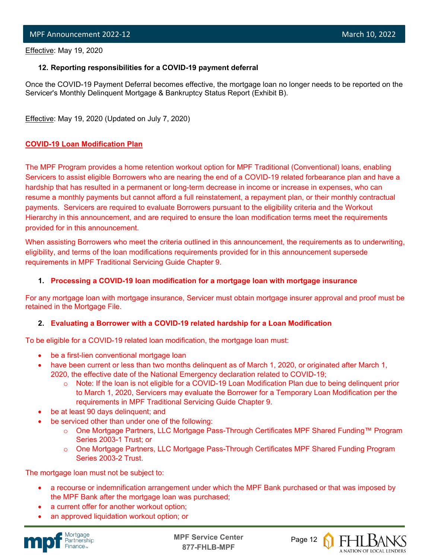l Effective: May 19, 2020

#### **12. Reporting responsibilities for a COVID-19 payment deferral**

Once the COVID-19 Payment Deferral becomes effective, the mortgage loan no longer needs to be reported on the Servicer's Monthly Delinquent Mortgage & Bankruptcy Status Report (Exhibit B).

Effective: May 19, 2020 (Updated on July 7, 2020)

#### **COVID-19 Loan Modification Plan**

The MPF Program provides a home retention workout option for MPF Traditional (Conventional) loans, enabling Servicers to assist eligible Borrowers who are nearing the end of a COVID-19 related forbearance plan and have a hardship that has resulted in a permanent or long-term decrease in income or increase in expenses, who can resume a monthly payments but cannot afford a full reinstatement, a repayment plan, or their monthly contractual payments. Servicers are required to evaluate Borrowers pursuant to the eligibility criteria and the Workout Hierarchy in this announcement, and are required to ensure the loan modification terms meet the requirements provided for in this announcement.

When assisting Borrowers who meet the criteria outlined in this announcement, the requirements as to underwriting, eligibility, and terms of the loan modifications requirements provided for in this announcement supersede requirements in MPF Traditional Servicing Guide Chapter 9.

#### **1. Processing a COVID-19 loan modification for a mortgage loan with mortgage insurance**

For any mortgage loan with mortgage insurance, Servicer must obtain mortgage insurer approval and proof must be retained in the Mortgage File.

#### **2. Evaluating a Borrower with a COVID-19 related hardship for a Loan Modification**

To be eligible for a COVID-19 related loan modification, the mortgage loan must:

- be a first-lien conventional mortgage loan
- have been current or less than two months delinquent as of March 1, 2020, or originated after March 1, 2020, the effective date of the National Emergency declaration related to COVID-19;
	- o Note: If the loan is not eligible for a COVID-19 Loan Modification Plan due to being delinquent prior to March 1, 2020, Servicers may evaluate the Borrower for a Temporary Loan Modification per the requirements in MPF Traditional Servicing Guide Chapter 9.
- be at least 90 days delinguent; and
- be serviced other than under one of the following:
	- o One Mortgage Partners, LLC Mortgage Pass-Through Certificates MPF Shared Funding™ Program Series 2003-1 Trust; or
	- o One Mortgage Partners, LLC Mortgage Pass-Through Certificates MPF Shared Funding Program Series 2003-2 Trust.

The mortgage loan must not be subject to:

- a recourse or indemnification arrangement under which the MPF Bank purchased or that was imposed by the MPF Bank after the mortgage loan was purchased;
- a current offer for another workout option;
- an approved liquidation workout option; or



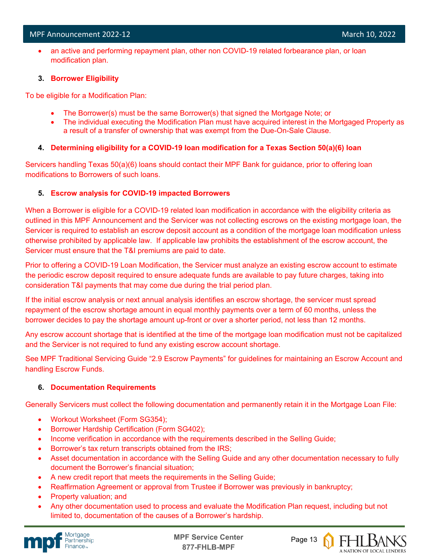• an active and performing repayment plan, other non COVID-19 related forbearance plan, or loan modification plan.

#### **3. Borrower Eligibility**

To be eligible for a Modification Plan:

- The Borrower(s) must be the same Borrower(s) that signed the Mortgage Note; or
- The individual executing the Modification Plan must have acquired interest in the Mortgaged Property as a result of a transfer of ownership that was exempt from the Due-On-Sale Clause.

#### **4. Determining eligibility for a COVID-19 loan modification for a Texas Section 50(a)(6) loan**

Servicers handling Texas 50(a)(6) loans should contact their MPF Bank for guidance, prior to offering loan modifications to Borrowers of such loans.

#### **5. Escrow analysis for COVID-19 impacted Borrowers**

When a Borrower is eligible for a COVID-19 related loan modification in accordance with the eligibility criteria as outlined in this MPF Announcement and the Servicer was not collecting escrows on the existing mortgage loan, the Servicer is required to establish an escrow deposit account as a condition of the mortgage loan modification unless otherwise prohibited by applicable law. If applicable law prohibits the establishment of the escrow account, the Servicer must ensure that the T&I premiums are paid to date.

Prior to offering a COVID-19 Loan Modification, the Servicer must analyze an existing escrow account to estimate the periodic escrow deposit required to ensure adequate funds are available to pay future charges, taking into consideration T&I payments that may come due during the trial period plan.

If the initial escrow analysis or next annual analysis identifies an escrow shortage, the servicer must spread repayment of the escrow shortage amount in equal monthly payments over a term of 60 months, unless the borrower decides to pay the shortage amount up-front or over a shorter period, not less than 12 months.

Any escrow account shortage that is identified at the time of the mortgage loan modification must not be capitalized and the Servicer is not required to fund any existing escrow account shortage.

See MPF Traditional Servicing Guide "2.9 Escrow Payments" for guidelines for maintaining an Escrow Account and handling Escrow Funds.

#### **6. Documentation Requirements**

Generally Servicers must collect the following documentation and permanently retain it in the Mortgage Loan File:

- Workout Worksheet (Form SG354);
- Borrower Hardship Certification (Form SG402);
- Income verification in accordance with the requirements described in the Selling Guide;
- Borrower's tax return transcripts obtained from the IRS;
- Asset documentation in accordance with the Selling Guide and any other documentation necessary to fully document the Borrower's financial situation;
- A new credit report that meets the requirements in the Selling Guide;
- Reaffirmation Agreement or approval from Trustee if Borrower was previously in bankruptcy;
- Property valuation; and
- Any other documentation used to process and evaluate the Modification Plan request, including but not limited to, documentation of the causes of a Borrower's hardship.





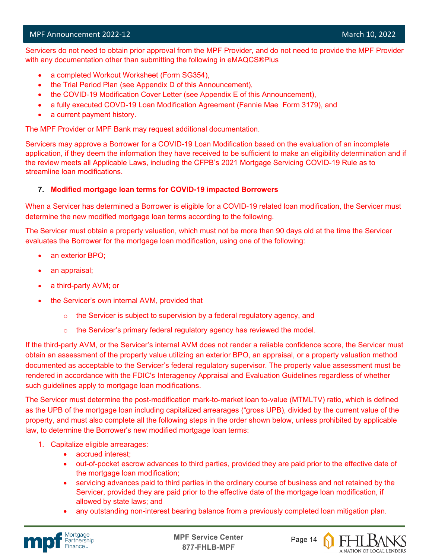l Servicers do not need to obtain prior approval from the MPF Provider, and do not need to provide the MPF Provider with any documentation other than submitting the following in eMAQCS®Plus

- a completed Workout Worksheet (Form SG354),
- the Trial Period Plan (see Appendix D of this Announcement),
- the COVID-19 Modification Cover Letter (see Appendix E of this Announcement),
- a fully executed COVD-19 Loan Modification Agreement (Fannie Mae Form 3179), and
- a current payment history.

The MPF Provider or MPF Bank may request additional documentation.

Servicers may approve a Borrower for a COVID-19 Loan Modification based on the evaluation of an incomplete application, if they deem the information they have received to be sufficient to make an eligibility determination and if the review meets all Applicable Laws, including the CFPB's 2021 Mortgage Servicing COVID-19 Rule as to streamline loan modifications.

#### **7. Modified mortgage loan terms for COVID-19 impacted Borrowers**

When a Servicer has determined a Borrower is eligible for a COVID-19 related loan modification, the Servicer must determine the new modified mortgage loan terms according to the following.

The Servicer must obtain a property valuation, which must not be more than 90 days old at the time the Servicer evaluates the Borrower for the mortgage loan modification, using one of the following:

- an exterior BPO;
- an appraisal;
- a third-party AVM; or
- the Servicer's own internal AVM, provided that
	- $\circ$  the Servicer is subject to supervision by a federal regulatory agency, and
	- $\circ$  the Servicer's primary federal regulatory agency has reviewed the model.

If the third-party AVM, or the Servicer's internal AVM does not render a reliable confidence score, the Servicer must obtain an assessment of the property value utilizing an exterior BPO, an appraisal, or a property valuation method documented as acceptable to the Servicer's federal regulatory supervisor. The property value assessment must be rendered in accordance with the FDIC's Interagency Appraisal and Evaluation Guidelines regardless of whether such guidelines apply to mortgage loan modifications.

The Servicer must determine the post-modification mark-to-market loan to-value (MTMLTV) ratio, which is defined as the UPB of the mortgage loan including capitalized arrearages ("gross UPB), divided by the current value of the property, and must also complete all the following steps in the order shown below, unless prohibited by applicable law, to determine the Borrower's new modified mortgage loan terms:

- 1. Capitalize eligible arrearages:
	- accrued interest;
	- out-of-pocket escrow advances to third parties, provided they are paid prior to the effective date of the mortgage loan modification;
	- servicing advances paid to third parties in the ordinary course of business and not retained by the Servicer, provided they are paid prior to the effective date of the mortgage loan modification, if allowed by state laws; and
	- any outstanding non-interest bearing balance from a previously completed loan mitigation plan.





A NATION OF LOCAL LENDERS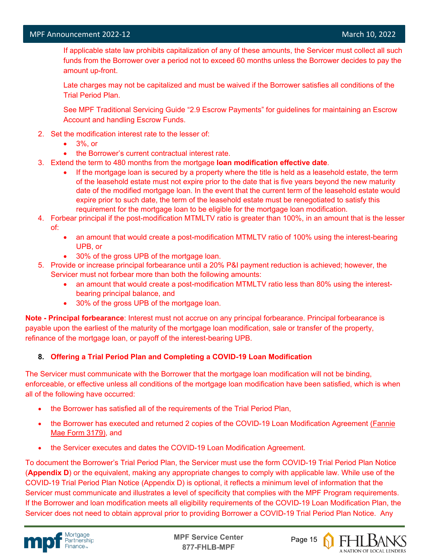l

 If applicable state law prohibits capitalization of any of these amounts, the Servicer must collect all such funds from the Borrower over a period not to exceed 60 months unless the Borrower decides to pay the amount up-front.

Late charges may not be capitalized and must be waived if the Borrower satisfies all conditions of the Trial Period Plan.

See MPF Traditional Servicing Guide "2.9 Escrow Payments" for guidelines for maintaining an Escrow Account and handling Escrow Funds.

- 2. Set the modification interest rate to the lesser of:
	- 3%, or
	- the Borrower's current contractual interest rate.
- 3. Extend the term to 480 months from the mortgage **loan modification effective date**.
	- If the mortgage loan is secured by a property where the title is held as a leasehold estate, the term of the leasehold estate must not expire prior to the date that is five years beyond the new maturity date of the modified mortgage loan. In the event that the current term of the leasehold estate would expire prior to such date, the term of the leasehold estate must be renegotiated to satisfy this requirement for the mortgage loan to be eligible for the mortgage loan modification.
- 4. Forbear principal if the post-modification MTMLTV ratio is greater than 100%, in an amount that is the lesser of:
	- an amount that would create a post-modification MTMLTV ratio of 100% using the interest-bearing UPB, or
	- 30% of the gross UPB of the mortgage loan.
- 5. Provide or increase principal forbearance until a 20% P&I payment reduction is achieved; however, the Servicer must not forbear more than both the following amounts:
	- an amount that would create a post-modification MTMLTV ratio less than 80% using the interestbearing principal balance, and
	- 30% of the gross UPB of the mortgage loan.

**Note - Principal forbearance**: Interest must not accrue on any principal forbearance. Principal forbearance is payable upon the earliest of the maturity of the mortgage loan modification, sale or transfer of the property, refinance of the mortgage loan, or payoff of the interest-bearing UPB.

#### **8. Offering a Trial Period Plan and Completing a COVID-19 Loan Modification**

The Servicer must communicate with the Borrower that the mortgage loan modification will not be binding, enforceable, or effective unless all conditions of the mortgage loan modification have been satisfied, which is when all of the following have occurred:

- the Borrower has satisfied all of the requirements of the Trial Period Plan,
- the Borrower has executed and returned 2 copies of the COVID-19 Loan Modification Agreement [\(Fannie](https://singlefamily.fanniemae.com/media/document/pdf/loan-modification-agreement-form-3179-pdf)  [Mae Form 3179\),](https://singlefamily.fanniemae.com/media/document/pdf/loan-modification-agreement-form-3179-pdf) and
- the Servicer executes and dates the COVID-19 Loan Modification Agreement.

To document the Borrower's Trial Period Plan, the Servicer must use the form COVID-19 Trial Period Plan Notice (**Appendix D**) or the equivalent, making any appropriate changes to comply with applicable law. While use of the COVID-19 Trial Period Plan Notice (Appendix D) is optional, it reflects a minimum level of information that the Servicer must communicate and illustrates a level of specificity that complies with the MPF Program requirements. If the Borrower and loan modification meets all eligibility requirements of the COVID-19 Loan Modification Plan, the Servicer does not need to obtain approval prior to providing Borrower a COVID-19 Trial Period Plan Notice. Any



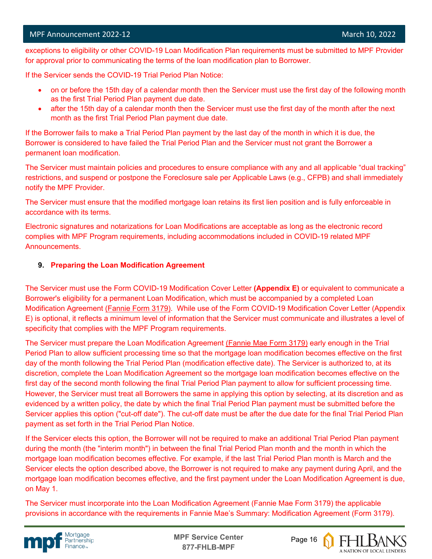l exceptions to eligibility or other COVID-19 Loan Modification Plan requirements must be submitted to MPF Provider for approval prior to communicating the terms of the loan modification plan to Borrower.

If the Servicer sends the COVID-19 Trial Period Plan Notice:

- on or before the 15th day of a calendar month then the Servicer must use the first day of the following month as the first Trial Period Plan payment due date.
- after the 15th day of a calendar month then the Servicer must use the first day of the month after the next month as the first Trial Period Plan payment due date.

If the Borrower fails to make a Trial Period Plan payment by the last day of the month in which it is due, the Borrower is considered to have failed the Trial Period Plan and the Servicer must not grant the Borrower a permanent loan modification.

The Servicer must maintain policies and procedures to ensure compliance with any and all applicable "dual tracking" restrictions, and suspend or postpone the Foreclosure sale per Applicable Laws (e.g., CFPB) and shall immediately notify the MPF Provider.

The Servicer must ensure that the modified mortgage loan retains its first lien position and is fully enforceable in accordance with its terms.

Electronic signatures and notarizations for Loan Modifications are acceptable as long as the electronic record complies with MPF Program requirements, including accommodations included in COVID-19 related MPF Announcements.

#### **9. Preparing the Loan Modification Agreement**

The Servicer must use the Form COVID-19 Modification Cover Letter **(Appendix E)** or equivalent to communicate a Borrower's eligibility for a permanent Loan Modification, which must be accompanied by a completed Loan Modification Agreement [\(Fannie Form 3179\).](https://singlefamily.fanniemae.com/media/document/pdf/loan-modification-agreement-form-3179-pdf) While use of the Form COVID-19 Modification Cover Letter (Appendix E) is optional, it reflects a minimum level of information that the Servicer must communicate and illustrates a level of specificity that complies with the MPF Program requirements.

The Servicer must prepare the Loan Modification Agreement [\(Fannie Mae Form 3179\)](https://singlefamily.fanniemae.com/media/document/pdf/loan-modification-agreement-form-3179-pdf) early enough in the Trial Period Plan to allow sufficient processing time so that the mortgage loan modification becomes effective on the first day of the month following the Trial Period Plan (modification effective date). The Servicer is authorized to, at its discretion, complete the Loan Modification Agreement so the mortgage loan modification becomes effective on the first day of the second month following the final Trial Period Plan payment to allow for sufficient processing time. However, the Servicer must treat all Borrowers the same in applying this option by selecting, at its discretion and as evidenced by a written policy, the date by which the final Trial Period Plan payment must be submitted before the Servicer applies this option ("cut-off date"). The cut-off date must be after the due date for the final Trial Period Plan payment as set forth in the Trial Period Plan Notice.

If the Servicer elects this option, the Borrower will not be required to make an additional Trial Period Plan payment during the month (the "interim month") in between the final Trial Period Plan month and the month in which the mortgage loan modification becomes effective. For example, if the last Trial Period Plan month is March and the Servicer elects the option described above, the Borrower is not required to make any payment during April, and the mortgage loan modification becomes effective, and the first payment under the Loan Modification Agreement is due, on May 1.

The Servicer must incorporate into the Loan Modification Agreement (Fannie Mae Form 3179) the applicable provisions in accordance with the requirements in Fannie Mae's Summary: Modification Agreement (Form 3179).



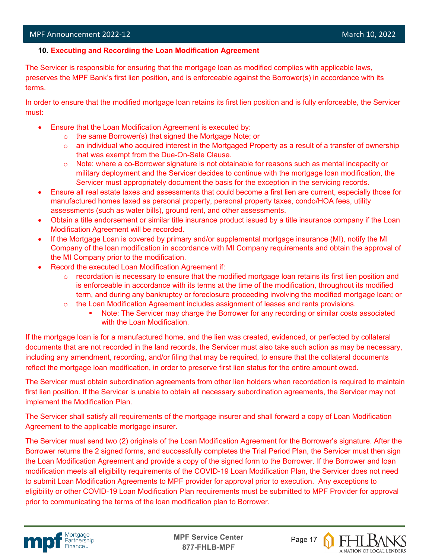#### **10. Executing and Recording the Loan Modification Agreement**

The Servicer is responsible for ensuring that the mortgage loan as modified complies with applicable laws, preserves the MPF Bank's first lien position, and is enforceable against the Borrower(s) in accordance with its terms.

In order to ensure that the modified mortgage loan retains its first lien position and is fully enforceable, the Servicer must:

- Ensure that the Loan Modification Agreement is executed by:
	- o the same Borrower(s) that signed the Mortgage Note; or
	- $\circ$  an individual who acquired interest in the Mortgaged Property as a result of a transfer of ownership that was exempt from the Due-On-Sale Clause.
	- $\circ$  Note: where a co-Borrower signature is not obtainable for reasons such as mental incapacity or military deployment and the Servicer decides to continue with the mortgage loan modification, the Servicer must appropriately document the basis for the exception in the servicing records.
- Ensure all real estate taxes and assessments that could become a first lien are current, especially those for manufactured homes taxed as personal property, personal property taxes, condo/HOA fees, utility assessments (such as water bills), ground rent, and other assessments.
- Obtain a title endorsement or similar title insurance product issued by a title insurance company if the Loan Modification Agreement will be recorded.
- If the Mortgage Loan is covered by primary and/or supplemental mortgage insurance (MI), notify the MI Company of the loan modification in accordance with MI Company requirements and obtain the approval of the MI Company prior to the modification.
- Record the executed Loan Modification Agreement if:
	- $\circ$  recordation is necessary to ensure that the modified mortgage loan retains its first lien position and is enforceable in accordance with its terms at the time of the modification, throughout its modified term, and during any bankruptcy or foreclosure proceeding involving the modified mortgage loan; or
	- $\circ$  the Loan Modification Agreement includes assignment of leases and rents provisions.
		- Note: The Servicer may charge the Borrower for any recording or similar costs associated with the Loan Modification.

If the mortgage loan is for a manufactured home, and the lien was created, evidenced, or perfected by collateral documents that are not recorded in the land records, the Servicer must also take such action as may be necessary, including any amendment, recording, and/or filing that may be required, to ensure that the collateral documents reflect the mortgage loan modification, in order to preserve first lien status for the entire amount owed.

The Servicer must obtain subordination agreements from other lien holders when recordation is required to maintain first lien position. If the Servicer is unable to obtain all necessary subordination agreements, the Servicer may not implement the Modification Plan.

The Servicer shall satisfy all requirements of the mortgage insurer and shall forward a copy of Loan Modification Agreement to the applicable mortgage insurer.

The Servicer must send two (2) originals of the Loan Modification Agreement for the Borrower's signature. After the Borrower returns the 2 signed forms, and successfully completes the Trial Period Plan, the Servicer must then sign the Loan Modification Agreement and provide a copy of the signed form to the Borrower. If the Borrower and loan modification meets all eligibility requirements of the COVID-19 Loan Modification Plan, the Servicer does not need to submit Loan Modification Agreements to MPF provider for approval prior to execution. Any exceptions to eligibility or other COVID-19 Loan Modification Plan requirements must be submitted to MPF Provider for approval prior to communicating the terms of the loan modification plan to Borrower.



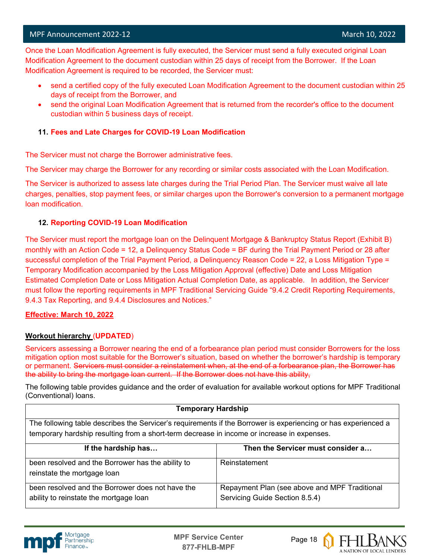l Once the Loan Modification Agreement is fully executed, the Servicer must send a fully executed original Loan Modification Agreement to the document custodian within 25 days of receipt from the Borrower. If the Loan Modification Agreement is required to be recorded, the Servicer must:

- send a certified copy of the fully executed Loan Modification Agreement to the document custodian within 25 days of receipt from the Borrower, and
- send the original Loan Modification Agreement that is returned from the recorder's office to the document custodian within 5 business days of receipt.

#### **11. Fees and Late Charges for COVID-19 Loan Modification**

The Servicer must not charge the Borrower administrative fees.

The Servicer may charge the Borrower for any recording or similar costs associated with the Loan Modification.

The Servicer is authorized to assess late charges during the Trial Period Plan. The Servicer must waive all late charges, penalties, stop payment fees, or similar charges upon the Borrower's conversion to a permanent mortgage loan modification.

#### **12. Reporting COVID-19 Loan Modification**

The Servicer must report the mortgage loan on the Delinquent Mortgage & Bankruptcy Status Report (Exhibit B) monthly with an Action Code = 12, a Delinquency Status Code = BF during the Trial Payment Period or 28 after successful completion of the Trial Payment Period, a Delinquency Reason Code = 22, a Loss Mitigation Type = Temporary Modification accompanied by the Loss Mitigation Approval (effective) Date and Loss Mitigation Estimated Completion Date or Loss Mitigation Actual Completion Date, as applicable. In addition, the Servicer must follow the reporting requirements in MPF Traditional Servicing Guide "9.4.2 Credit Reporting Requirements, 9.4.3 Tax Reporting, and 9.4.4 Disclosures and Notices."

#### **Effective: March 10, 2022**

#### **Workout hierarchy** (**UPDATED**)

Servicers assessing a Borrower nearing the end of a forbearance plan period must consider Borrowers for the loss mitigation option most suitable for the Borrower's situation, based on whether the borrower's hardship is temporary or permanent. Servicers must consider a reinstatement when, at the end of a forbearance plan, the Borrower has the ability to bring the mortgage loan current. If the Borrower does not have this ability,

The following table provides guidance and the order of evaluation for available workout options for MPF Traditional (Conventional) loans.

#### **Temporary Hardship**

The following table describes the Servicer's requirements if the Borrower is experiencing or has experienced a temporary hardship resulting from a short-term decrease in income or increase in expenses.

| If the hardship has                                                                        | Then the Servicer must consider a                                               |
|--------------------------------------------------------------------------------------------|---------------------------------------------------------------------------------|
| been resolved and the Borrower has the ability to<br>reinstate the mortgage loan           | Reinstatement                                                                   |
| been resolved and the Borrower does not have the<br>ability to reinstate the mortgage loan | Repayment Plan (see above and MPF Traditional<br>Servicing Guide Section 8.5.4) |



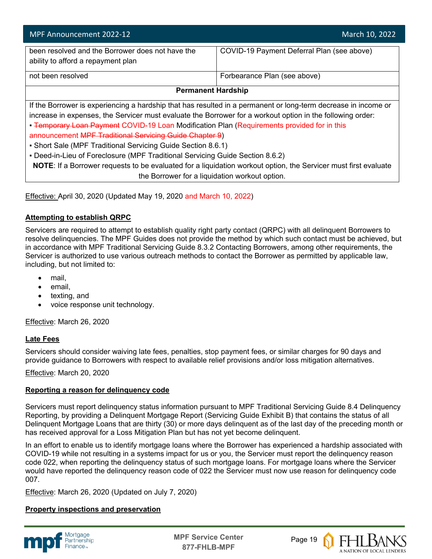| MPF Announcement 2022-12                                                                                        | March 10, 2022                             |  |  |
|-----------------------------------------------------------------------------------------------------------------|--------------------------------------------|--|--|
| been resolved and the Borrower does not have the                                                                | COVID-19 Payment Deferral Plan (see above) |  |  |
| ability to afford a repayment plan                                                                              |                                            |  |  |
| not been resolved                                                                                               | Forbearance Plan (see above)               |  |  |
| <b>Permanent Hardship</b>                                                                                       |                                            |  |  |
| If the Borrower is experiencing a hardship that has resulted in a permanent or long-term decrease in income or  |                                            |  |  |
| increase in expenses, the Servicer must evaluate the Borrower for a workout option in the following order:      |                                            |  |  |
| • Temporary Loan Payment COVID-19 Loan Modification Plan (Requirements provided for in this                     |                                            |  |  |
| announcement MPF Traditional Servicing Guide Chapter 9)                                                         |                                            |  |  |
| • Short Sale (MPF Traditional Servicing Guide Section 8.6.1)                                                    |                                            |  |  |
| • Deed-in-Lieu of Foreclosure (MPF Traditional Servicing Guide Section 8.6.2)                                   |                                            |  |  |
| NOTE: If a Borrower requests to be evaluated for a liquidation workout option, the Servicer must first evaluate |                                            |  |  |
| the Borrower for a liquidation workout option.                                                                  |                                            |  |  |

Effective: April 30, 2020 (Updated May 19, 2020 and March 10, 2022)

#### **Attempting to establish QRPC**

Servicers are required to attempt to establish quality right party contact (QRPC) with all delinquent Borrowers to resolve delinquencies. The MPF Guides does not provide the method by which such contact must be achieved, but in accordance with MPF Traditional Servicing Guide 8.3.2 Contacting Borrowers, among other requirements, the Servicer is authorized to use various outreach methods to contact the Borrower as permitted by applicable law, including, but not limited to:

- mail.
- email,
- texting, and
- voice response unit technology.

Effective: March 26, 2020

#### **Late Fees**

Servicers should consider waiving late fees, penalties, stop payment fees, or similar charges for 90 days and provide guidance to Borrowers with respect to available relief provisions and/or loss mitigation alternatives.

Effective: March 20, 2020

#### **Reporting a reason for delinquency code**

Servicers must report delinquency status information pursuant to MPF Traditional Servicing Guide 8.4 Delinquency Reporting, by providing a Delinquent Mortgage Report (Servicing Guide Exhibit B) that contains the status of all Delinquent Mortgage Loans that are thirty (30) or more days delinquent as of the last day of the preceding month or has received approval for a Loss Mitigation Plan but has not yet become delinquent.

In an effort to enable us to identify mortgage loans where the Borrower has experienced a hardship associated with COVID-19 while not resulting in a systems impact for us or you, the Servicer must report the delinquency reason code 022, when reporting the delinquency status of such mortgage loans. For mortgage loans where the Servicer would have reported the delinquency reason code of 022 the Servicer must now use reason for delinquency code 007.

Effective: March 26, 2020 (Updated on July 7, 2020)

#### **Property inspections and preservation**



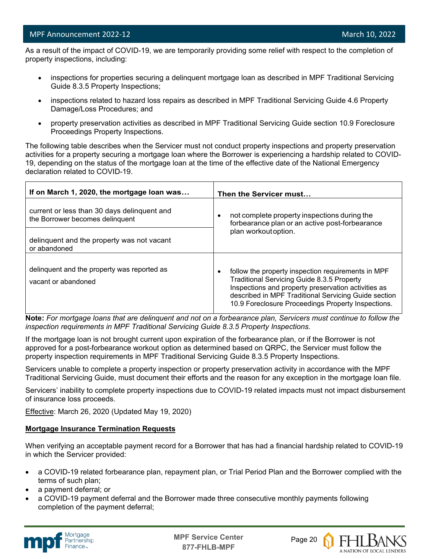l As a result of the impact of COVID-19, we are temporarily providing some relief with respect to the completion of property inspections, including:

- inspections for properties securing a delinquent mortgage loan as described in MPF Traditional Servicing Guide 8.3.5 Property Inspections;
- inspections related to hazard loss repairs as described in MPF Traditional Servicing Guide 4.6 Property Damage/Loss Procedures; and
- property preservation activities as described in MPF Traditional Servicing Guide section 10.9 Foreclosure Proceedings Property Inspections.

The following table describes when the Servicer must not conduct property inspections and property preservation activities for a property securing a mortgage loan where the Borrower is experiencing a hardship related to COVID-19, depending on the status of the mortgage loan at the time of the effective date of the National Emergency declaration related to COVID-19.

| If on March 1, 2020, the mortgage loan was                                     | Then the Servicer must                                                                                                                                                                                                                                                     |
|--------------------------------------------------------------------------------|----------------------------------------------------------------------------------------------------------------------------------------------------------------------------------------------------------------------------------------------------------------------------|
| current or less than 30 days delinquent and<br>the Borrower becomes delinquent | not complete property inspections during the<br>$\bullet$<br>forbearance plan or an active post-forbearance                                                                                                                                                                |
| delinquent and the property was not vacant<br>or abandoned                     | plan workout option.                                                                                                                                                                                                                                                       |
| delinguent and the property was reported as<br>vacant or abandoned             | follow the property inspection requirements in MPF<br>٠<br>Traditional Servicing Guide 8.3.5 Property<br>Inspections and property preservation activities as<br>described in MPF Traditional Servicing Guide section<br>10.9 Foreclosure Proceedings Property Inspections. |

**Note:** *For mortgage loans that are delinquent and not on a forbearance plan, Servicers must continue to follow the inspection requirements in MPF Traditional Servicing Guide 8.3.5 Property Inspections.*

If the mortgage loan is not brought current upon expiration of the forbearance plan, or if the Borrower is not approved for a post-forbearance workout option as determined based on QRPC, the Servicer must follow the property inspection requirements in MPF Traditional Servicing Guide 8.3.5 Property Inspections.

Servicers unable to complete a property inspection or property preservation activity in accordance with the MPF Traditional Servicing Guide, must document their efforts and the reason for any exception in the mortgage loan file.

Servicers' inability to complete property inspections due to COVID-19 related impacts must not impact disbursement of insurance loss proceeds.

Effective: March 26, 2020 (Updated May 19, 2020)

#### **Mortgage Insurance Termination Requests**

When verifying an acceptable payment record for a Borrower that has had a financial hardship related to COVID-19 in which the Servicer provided:

- a COVID-19 related forbearance plan, repayment plan, or Trial Period Plan and the Borrower complied with the terms of such plan;
- a payment deferral; or
- a COVID-19 payment deferral and the Borrower made three consecutive monthly payments following completion of the payment deferral;



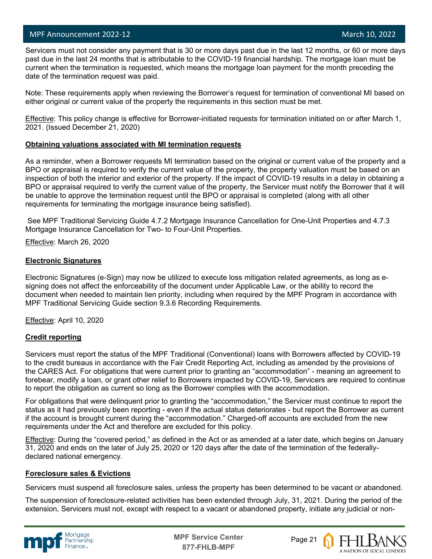#### MPF Announcement 2022-12 and the control of the control of the control of the control of the March 10, 2022

l

 Servicers must not consider any payment that is 30 or more days past due in the last 12 months, or 60 or more days past due in the last 24 months that is attributable to the COVID-19 financial hardship. The mortgage loan must be current when the termination is requested, which means the mortgage loan payment for the month preceding the date of the termination request was paid.

Note: These requirements apply when reviewing the Borrower's request for termination of conventional MI based on either original or current value of the property the requirements in this section must be met.

Effective: This policy change is effective for Borrower-initiated requests for termination initiated on or after March 1, 2021. (Issued December 21, 2020)

#### **Obtaining valuations associated with MI termination requests**

As a reminder, when a Borrower requests MI termination based on the original or current value of the property and a BPO or appraisal is required to verify the current value of the property, the property valuation must be based on an inspection of both the interior and exterior of the property. If the impact of COVID-19 results in a delay in obtaining a BPO or appraisal required to verify the current value of the property, the Servicer must notify the Borrower that it will be unable to approve the termination request until the BPO or appraisal is completed (along with all other requirements for terminating the mortgage insurance being satisfied).

See MPF Traditional Servicing Guide 4.7.2 Mortgage Insurance Cancellation for One-Unit Properties and 4.7.3 Mortgage Insurance Cancellation for Two- to Four-Unit Properties.

Effective: March 26, 2020

#### **Electronic Signatures**

Electronic Signatures (e-Sign) may now be utilized to execute loss mitigation related agreements, as long as esigning does not affect the enforceability of the document under Applicable Law, or the ability to record the document when needed to maintain lien priority, including when required by the MPF Program in accordance with MPF Traditional Servicing Guide section 9.3.6 Recording Requirements.

Effective: April 10, 2020

#### **Credit reporting**

Servicers must report the status of the MPF Traditional (Conventional) loans with Borrowers affected by COVID-19 to the credit bureaus in accordance with the Fair Credit Reporting Act, including as amended by the provisions of the CARES Act. For obligations that were current prior to granting an "accommodation" - meaning an agreement to forebear, modify a loan, or grant other relief to Borrowers impacted by COVID-19, Servicers are required to continue to report the obligation as current so long as the Borrower complies with the accommodation.

For obligations that were delinquent prior to granting the "accommodation," the Servicer must continue to report the status as it had previously been reporting - even if the actual status deteriorates - but report the Borrower as current if the account is brought current during the "accommodation." Charged-off accounts are excluded from the new requirements under the Act and therefore are excluded for this policy.

Effective: During the "covered period," as defined in the Act or as amended at a later date, which begins on January 31, 2020 and ends on the later of July 25, 2020 or 120 days after the date of the termination of the federallydeclared national emergency.

#### **Foreclosure sales & Evictions**

Servicers must suspend all foreclosure sales, unless the property has been determined to be vacant or abandoned.

The suspension of foreclosure-related activities has been extended through July, 31, 2021. During the period of the extension, Servicers must not, except with respect to a vacant or abandoned property, initiate any judicial or non-



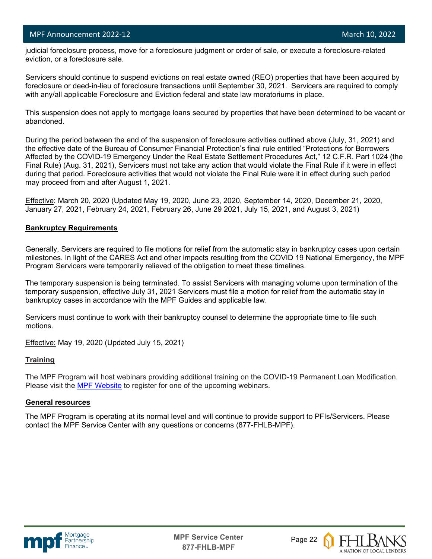#### MPF Announcement 2022-12 and the control of the control of the control of the control of the March 10, 2022

l

 judicial foreclosure process, move for a foreclosure judgment or order of sale, or execute a foreclosure-related eviction, or a foreclosure sale.

Servicers should continue to suspend evictions on real estate owned (REO) properties that have been acquired by foreclosure or deed-in-lieu of foreclosure transactions until September 30, 2021. Servicers are required to comply with any/all applicable Foreclosure and Eviction federal and state law moratoriums in place.

This suspension does not apply to mortgage loans secured by properties that have been determined to be vacant or abandoned.

During the period between the end of the suspension of foreclosure activities outlined above (July, 31, 2021) and the effective date of the Bureau of Consumer Financial Protection's final rule entitled "Protections for Borrowers Affected by the COVID-19 Emergency Under the Real Estate Settlement Procedures Act," 12 C.F.R. Part 1024 (the Final Rule) (Aug. 31, 2021), Servicers must not take any action that would violate the Final Rule if it were in effect during that period. Foreclosure activities that would not violate the Final Rule were it in effect during such period may proceed from and after August 1, 2021.

Effective: March 20, 2020 (Updated May 19, 2020, June 23, 2020, September 14, 2020, December 21, 2020, January 27, 2021, February 24, 2021, February 26, June 29 2021, July 15, 2021, and August 3, 2021)

#### **Bankruptcy Requirements**

Generally, Servicers are required to file motions for relief from the automatic stay in bankruptcy cases upon certain milestones. In light of the CARES Act and other impacts resulting from the COVID 19 National Emergency, the MPF Program Servicers were temporarily relieved of the obligation to meet these timelines.

The temporary suspension is being terminated. To assist Servicers with managing volume upon termination of the temporary suspension, effective July 31, 2021 Servicers must file a motion for relief from the automatic stay in bankruptcy cases in accordance with the MPF Guides and applicable law.

Servicers must continue to work with their bankruptcy counsel to determine the appropriate time to file such motions.

Effective: May 19, 2020 (Updated July 15, 2021)

#### **Training**

The MPF Program will host webinars providing additional training on the COVID-19 Permanent Loan Modification. Please visit the [MPF Website](https://www.fhlbmpf.com/education/upcoming-webinars) to register for one of the upcoming webinars.

#### **General resources**

The MPF Program is operating at its normal level and will continue to provide support to PFIs/Servicers. Please contact the MPF Service Center with any questions or concerns (877-FHLB-MPF).



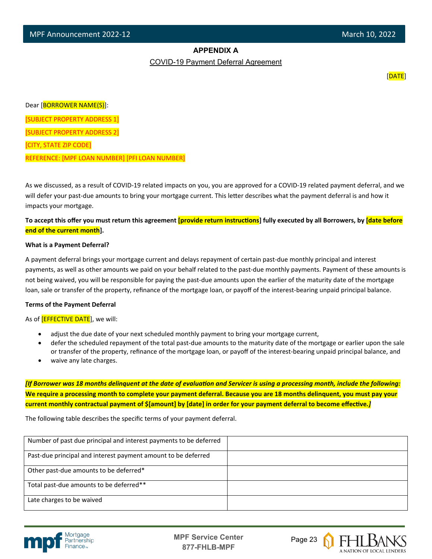#### **APPENDIX A**

COVID-19 Payment Deferral Agreement

[DATE]

Dear [BORROWER NAME(S)]:

[SUBJECT PROPERTY ADDRESS 1]

[SUBJECT PROPERTY ADDRESS 2]

[CITY, STATE ZIP CODE]

l

REFERENCE: [MPF LOAN NUMBER] [PFI LOAN NUMBER]

As we discussed, as a result of COVID-19 related impacts on you, you are approved for a COVID-19 related payment deferral, and we will defer your past-due amounts to bring your mortgage current. This letter describes what the payment deferral is and how it impacts your mortgage.

To accept this offer you must return this agreement **[provide return instructions**] fully executed by all Borrowers, by *date before* **end of the current month].**

#### **What is a Payment Deferral?**

A payment deferral brings your mortgage current and delays repayment of certain past-due monthly principal and interest payments, as well as other amounts we paid on your behalf related to the past-due monthly payments. Payment of these amounts is not being waived, you will be responsible for paying the past-due amounts upon the earlier of the maturity date of the mortgage loan, sale or transfer of the property, refinance of the mortgage loan, or payoff of the interest-bearing unpaid principal balance.

#### **Terms of the Payment Deferral**

As of **[EFFECTIVE DATE**], we will:

- adjust the due date of your next scheduled monthly payment to bring your mortgage current,
- defer the scheduled repayment of the total past-due amounts to the maturity date of the mortgage or earlier upon the sale or transfer of the property, refinance of the mortgage loan, or payoff of the interest-bearing unpaid principal balance, and
- waive any late charges.

*[If Borrower was 18 months delinquent at the date of evaluation and Servicer is using a processing month, include the following:* **We require a processing month to complete your payment deferral. Because you are 18 months delinquent, you must pay your**  current monthly contractual payment of \$[amount] by [date] in order for your payment deferral to become effective.*]* 

The following table describes the specific terms of your payment deferral.

| Number of past due principal and interest payments to be deferred |  |
|-------------------------------------------------------------------|--|
| Past-due principal and interest payment amount to be deferred     |  |
| Other past-due amounts to be deferred*                            |  |
| Total past-due amounts to be deferred**                           |  |
| Late charges to be waived                                         |  |



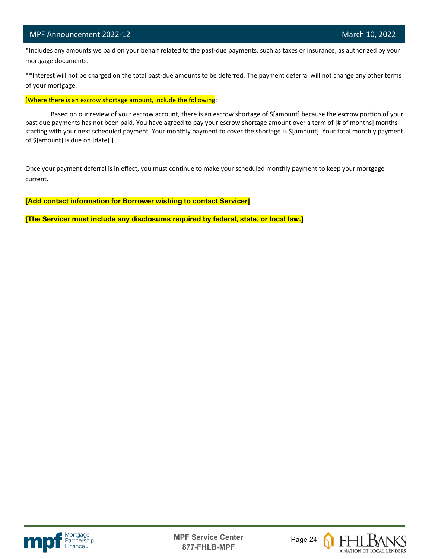#### MPF Announcement 2022-12 and the control of the control of the control of the control of the March 10, 2022

l

 \*Includes any amounts we paid on your behalf related to the past-due payments, such as taxes or insurance, as authorized by your mortgage documents.

\*\*Interest will not be charged on the total past-due amounts to be deferred. The payment deferral will not change any other terms of your mortgage.

[Where there is an escrow shortage amount, include the following:

Based on our review of your escrow account, there is an escrow shortage of \$[amount] because the escrow portion of your past due payments has not been paid. You have agreed to pay your escrow shortage amount over a term of [# of months] months starting with your next scheduled payment. Your monthly payment to cover the shortage is \$[amount]. Your total monthly payment of \$[amount] is due on [date].]

Once your payment deferral is in effect, you must continue to make your scheduled monthly payment to keep your mortgage current.

**[Add contact information for Borrower wishing to contact Servicer]**

**[The Servicer must include any disclosures required by federal, state, or local law.]**





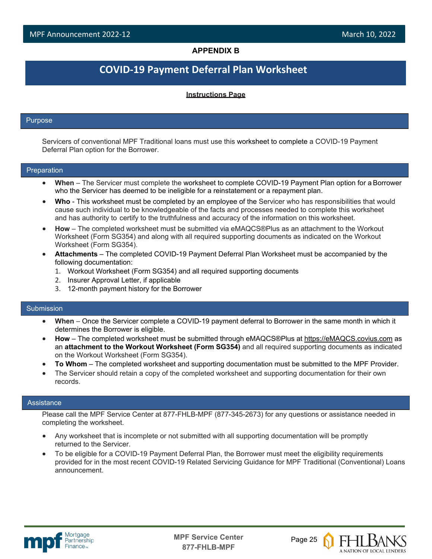#### **APPENDIX B**

# **COVID-19 Payment Deferral Plan Worksheet**

#### **Instructions Page**

#### Purpose

l

Servicers of conventional MPF Traditional loans must use this worksheet to complete a COVID-19 Payment Deferral Plan option for the Borrower.

#### Preparation

- **When**  The Servicer must complete the worksheet to complete COVID-19 Payment Plan option for a Borrower who the Servicer has deemed to be ineligible for a reinstatement or a repayment plan.
- **Who**  This worksheet must be completed by an employee of the Servicer who has responsibilities that would cause such individual to be knowledgeable of the facts and processes needed to complete this worksheet and has authority to certify to the truthfulness and accuracy of the information on this worksheet.
- **How**  The completed worksheet must be submitted via eMAQCS®Plus as an attachment to the Workout Worksheet (Form SG354) and along with all required supporting documents as indicated on the Workout Worksheet (Form SG354).
- **Attachments**  The completed COVID-19 Payment Deferral Plan Worksheet must be accompanied by the following documentation:
	- 1. Workout Worksheet (Form SG354) and all required supporting documents
	- 2. Insurer Approval Letter, if applicable
	- 3. 12-month payment history for the Borrower

#### Submission

- **When**  Once the Servicer complete a COVID-19 payment deferral to Borrower in the same month in which it determines the Borrower is eligible.
- **How**  The completed worksheet must be submitted through eMAQCS®Plus at [https://eMAQCS.covius.com](https://emaqcs.covius.com/) as an **attachment to the Workout Worksheet (Form SG354)** and all required supporting documents as indicated on the Workout Worksheet (Form SG354).
- **To Whom**  The completed worksheet and supporting documentation must be submitted to the MPF Provider.
- The Servicer should retain a copy of the completed worksheet and supporting documentation for their own records.

#### **Assistance**

Please call the MPF Service Center at 877-FHLB-MPF (877-345-2673) for any questions or assistance needed in completing the worksheet.

- Any worksheet that is incomplete or not submitted with all supporting documentation will be promptly returned to the Servicer.
- To be eligible for a COVID-19 Payment Deferral Plan, the Borrower must meet the eligibility requirements provided for in the most recent COVID-19 Related Servicing Guidance for MPF Traditional (Conventional) Loans announcement.



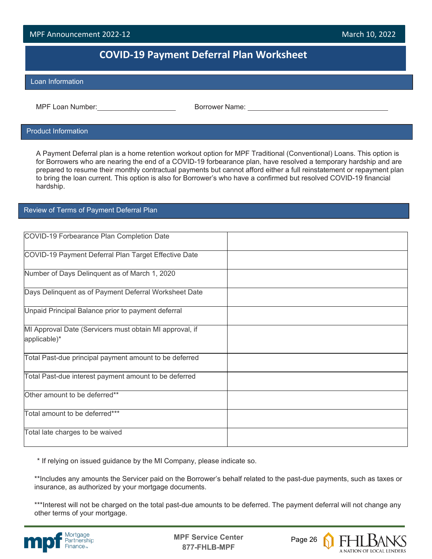### MPF Announcement 2022-12 March 10, 2022 I

## **COVID-19 Payment Deferral Plan Worksheet**

#### Loan Information

l

MPF Loan Number:  $\blacksquare$  Borrower Name:

#### Product Information

A Payment Deferral plan is a home retention workout option for MPF Traditional (Conventional) Loans. This option is for Borrowers who are nearing the end of a COVID-19 forbearance plan, have resolved a temporary hardship and are prepared to resume their monthly contractual payments but cannot afford either a full reinstatement or repayment plan to bring the loan current. This option is also for Borrower's who have a confirmed but resolved COVID-19 financial hardship.

#### Review of Terms of Payment Deferral Plan

| COVID-19 Forbearance Plan Completion Date               |  |
|---------------------------------------------------------|--|
| COVID-19 Payment Deferral Plan Target Effective Date    |  |
| Number of Days Delinquent as of March 1, 2020           |  |
| Days Delinquent as of Payment Deferral Worksheet Date   |  |
| Unpaid Principal Balance prior to payment deferral      |  |
| MI Approval Date (Servicers must obtain MI approval, if |  |
|                                                         |  |
| applicable)*                                            |  |
| Total Past-due principal payment amount to be deferred  |  |
| Total Past-due interest payment amount to be deferred   |  |
| Other amount to be deferred**                           |  |
| Total amount to be deferred***                          |  |
| Total late charges to be waived                         |  |

\* If relying on issued guidance by the MI Company, please indicate so.

\*\*Includes any amounts the Servicer paid on the Borrower's behalf related to the past-due payments, such as taxes or insurance, as authorized by your mortgage documents.

\*\*\*Interest will not be charged on the total past-due amounts to be deferred. The payment deferral will not change any other terms of your mortgage.





A NATION OF LOCAL LENDERS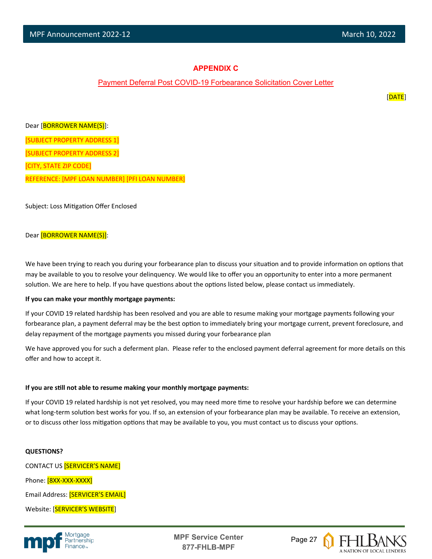#### **APPENDIX C**

#### Payment Deferral Post COVID-19 Forbearance Solicitation Cover Letter

[DATE]

Dear [BORROWER NAME(S)]: [SUBJECT PROPERTY ADDRESS 1] [SUBJECT PROPERTY ADDRESS 2] [CITY, STATE ZIP CODE] REFERENCE: [MPF LOAN NUMBER] [PFI LOAN NUMBER]

Subject: Loss Mitigation Offer Enclosed

#### Dear [BORROWER NAME(S)]:

We have been trying to reach you during your forbearance plan to discuss your situation and to provide information on options that may be available to you to resolve your delinquency. We would like to offer you an opportunity to enter into a more permanent solution. We are here to help. If you have questions about the options listed below, please contact us immediately.

#### **If you can make your monthly mortgage payments:**

If your COVID 19 related hardship has been resolved and you are able to resume making your mortgage payments following your forbearance plan, a payment deferral may be the best option to immediately bring your mortgage current, prevent foreclosure, and delay repayment of the mortgage payments you missed during your forbearance plan

We have approved you for such a deferment plan. Please refer to the enclosed payment deferral agreement for more details on this offer and how to accept it.

#### **If you are s�ll not able to resume making your monthly mortgage payments:**

If your COVID 19 related hardship is not yet resolved, you may need more time to resolve your hardship before we can determine what long-term solution best works for you. If so, an extension of your forbearance plan may be available. To receive an extension, or to discuss other loss mitigation options that may be available to you, you must contact us to discuss your options.

#### **QUESTIONS?**

CONTACT US [SERVICER'S NAME] Phone: [8XX-XXX-XXXX] Email Address: [SERVICER'S EMAIL] Website: [SERVICER'S WEBSITE]



**MPF Service Center** Page 27 **877-FHLB-MPF**

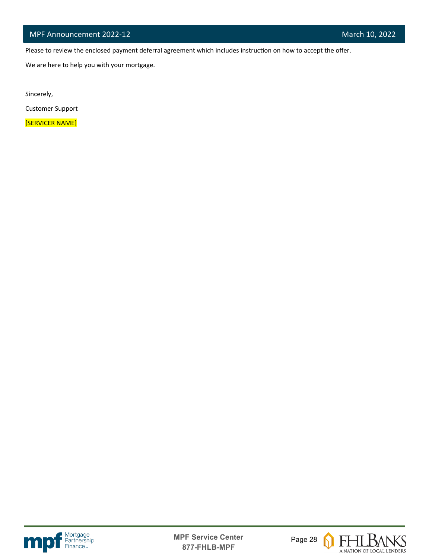Please to review the enclosed payment deferral agreement which includes instruction on how to accept the offer.

We are here to help you with your mortgage.

Sincerely,

l

Customer Support

[SERVICER NAME]





 $\boldsymbol{\Omega}$ 

**FHLBANS** A NATION OF LOCAL LENDERS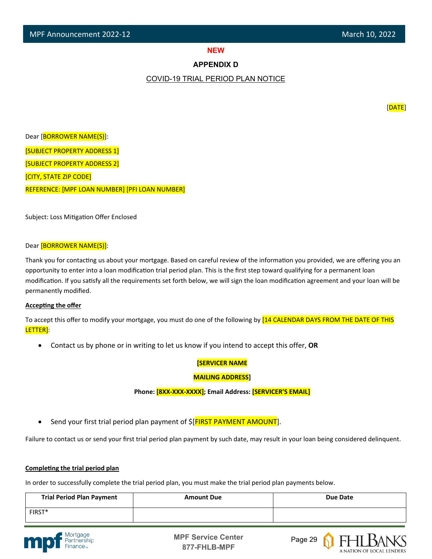# **NEW SERVICE STATE**

#### **APPENDIX D**

#### COVID-19 TRIAL PERIOD PLAN NOTICE

Dear [BORROWER NAME(S)]: [SUBJECT PROPERTY ADDRESS 1] [SUBJECT PROPERTY ADDRESS 2] [CITY, STATE ZIP CODE] REFERENCE: [MPF LOAN NUMBER] [PFI LOAN NUMBER]

Subject: Loss Mitigation Offer Enclosed

#### Dear [BORROWER NAME(S)]:

Thank you for contacting us about your mortgage. Based on careful review of the information you provided, we are offering you an opportunity to enter into a loan modification trial period plan. This is the first step toward qualifying for a permanent loan modification. If you satisfy all the requirements set forth below, we will sign the loan modification agreement and your loan will be permanently modified.

#### **Accepting the offer**

To accept this offer to modify your mortgage, you must do one of the following by [14 CALENDAR DAYS FROM THE DATE OF THIS LETTER]:

• Contact us by phone or in writing to let us know if you intend to accept this offer, **OR**

#### **[SERVICER NAME**

#### **MAILING ADDRESS]**

**Phone: [8XX-XXX-XXXX]; Email Address: [SERVICER'S EMAIL]**

Send your first trial period plan payment of  $\frac{1}{2}$  FIRST PAYMENT AMOUNT].

Failure to contact us or send your first trial period plan payment by such date, may result in your loan being considered delinquent.

#### **Completing the trial period plan**

In order to successfully complete the trial period plan, you must make the trial period plan payments below.

| <b>Trial Period Plan Payment</b> | <b>Amount Due</b> | Due Date |
|----------------------------------|-------------------|----------|
| FIRST*                           |                   |          |







[DATE]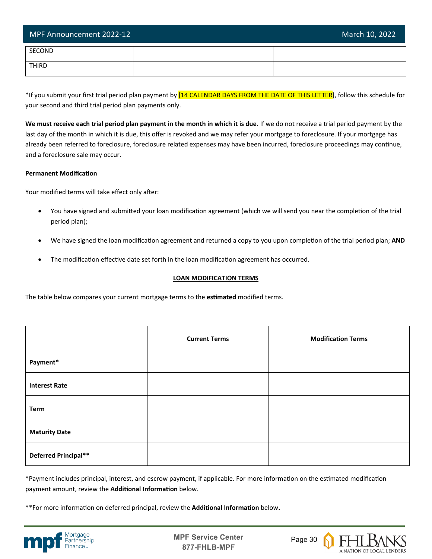| MPF Announcement 2022-12 | March 10, 2022 |
|--------------------------|----------------|
| SECOND                   |                |
| <b>THIRD</b>             |                |

\*If you submit your first trial period plan payment by [14 CALENDAR DAYS FROM THE DATE OF THIS LETTER], follow this schedule for your second and third trial period plan payments only.

**We must receive each trial period plan payment in the month in which it is due.** If we do not receive a trial period payment by the last day of the month in which it is due, this offer is revoked and we may refer your mortgage to foreclosure. If your mortgage has already been referred to foreclosure, foreclosure related expenses may have been incurred, foreclosure proceedings may continue, and a foreclosure sale may occur.

#### **Permanent Modification**

Your modified terms will take effect only after:

- You have signed and submitted your loan modification agreement (which we will send you near the completion of the trial period plan);
- We have signed the loan modification agreement and returned a copy to you upon completion of the trial period plan; AND
- The modification effective date set forth in the loan modification agreement has occurred.

#### **LOAN MODIFICATION TERMS**

The table below compares your current mortgage terms to the **es�mated** modified terms.

|                      | <b>Current Terms</b> | <b>Modification Terms</b> |
|----------------------|----------------------|---------------------------|
| Payment*             |                      |                           |
| <b>Interest Rate</b> |                      |                           |
| Term                 |                      |                           |
| <b>Maturity Date</b> |                      |                           |
| Deferred Principal** |                      |                           |

\*Payment includes principal, interest, and escrow payment, if applicable. For more information on the estimated modification payment amount, review the **Additional Information** below.

\*\*For more information on deferred principal, review the **Additional Information** below.



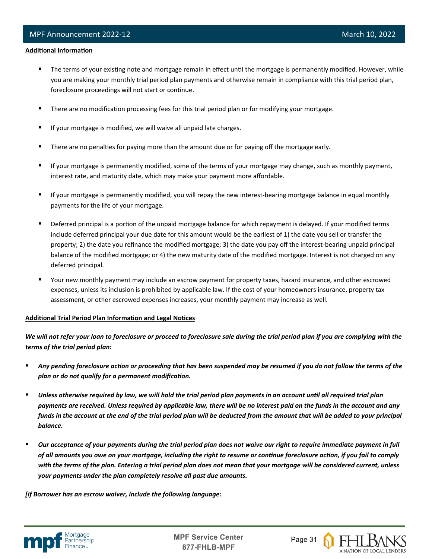#### **Additional Information**

l

- The terms of your existing note and mortgage remain in effect until the mortgage is permanently modified. However, while you are making your monthly trial period plan payments and otherwise remain in compliance with this trial period plan, foreclosure proceedings will not start or continue.
- **There are no modification processing fees for this trial period plan or for modifying your mortgage.**
- **If your mortgage is modified, we will waive all unpaid late charges.**
- There are no penalties for paying more than the amount due or for paying off the mortgage early.
- If your mortgage is permanently modified, some of the terms of your mortgage may change, such as monthly payment, interest rate, and maturity date, which may make your payment more affordable.
- If your mortgage is permanently modified, you will repay the new interest-bearing mortgage balance in equal monthly payments for the life of your mortgage.
- Deferred principal is a portion of the unpaid mortgage balance for which repayment is delayed. If your modified terms include deferred principal your due date for this amount would be the earliest of 1) the date you sell or transfer the property; 2) the date you refinance the modified mortgage; 3) the date you pay off the interest-bearing unpaid principal balance of the modified mortgage; or 4) the new maturity date of the modified mortgage. Interest is not charged on any deferred principal.
- Your new monthly payment may include an escrow payment for property taxes, hazard insurance, and other escrowed expenses, unless its inclusion is prohibited by applicable law. If the cost of your homeowners insurance, property tax assessment, or other escrowed expenses increases, your monthly payment may increase as well.

#### **Additional Trial Period Plan Information and Legal Notices**

*We will not refer your loan to foreclosure or proceed to foreclosure sale during the trial period plan if you are complying with the terms of the trial period plan:*

- *Any pending foreclosure action or proceeding that has been suspended may be resumed if you do not follow the terms of the plan or do not qualify for a permanent modification.*
- **Unless otherwise required by law, we will hold the trial period plan payments in an account until all required trial plan <b>\*** *payments are received. Unless required by applicable law, there will be no interest paid on the funds in the account and any funds in the account at the end of the trial period plan will be deducted from the amount that will be added to your principal balance.*
- *Our acceptance of your payments during the trial period plan does not waive our right to require immediate payment in full of all amounts you owe on your mortgage, including the right to resume or continue foreclosure action, if you fail to comply with the terms of the plan. Entering a trial period plan does not mean that your mortgage will be considered current, unless your payments under the plan completely resolve all past due amounts.*

*[If Borrower has an escrow waiver, include the following language:*



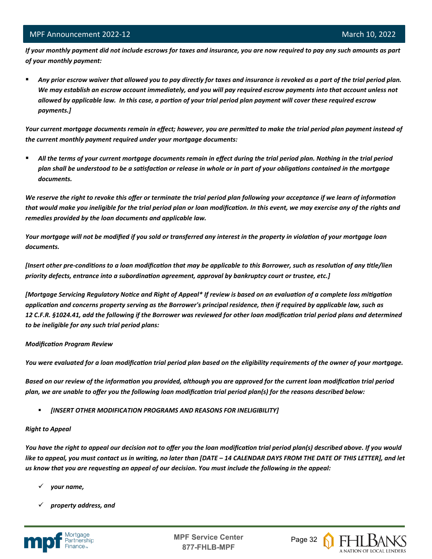*If your monthly payment did not include escrows for taxes and insurance, you are now required to pay any such amounts as part of your monthly payment:*

 *Any prior escrow waiver that allowed you to pay directly for taxes and insurance is revoked as a part of the trial period plan. We may establish an escrow account immediately, and you will pay required escrow payments into that account unless not allowed by applicable law. In this case, a portion of your trial period plan payment will cover these required escrow payments.]*

*Your current mortgage documents remain in effect; however, you are permitted to make the trial period plan payment instead of the current monthly payment required under your mortgage documents:*

 *All the terms of your current mortgage documents remain in effect during the trial period plan. Nothing in the trial period plan shall be understood to be a satisfaction or release in whole or in part of your obligations contained in the mortgage documents.*

*We reserve the right to revoke this offer or terminate the trial period plan following your acceptance if we learn of information that would make you ineligible for the trial period plan or loan modification. In this event, we may exercise any of the rights and remedies provided by the loan documents and applicable law.* 

*Your mortgage will not be modified if you sold or transferred any interest in the property in violation of your mortgage loan documents.* 

*[Insert other pre-conditions to a loan modification that may be applicable to this Borrower, such as resolution of any title/lien priority defects, entrance into a subordination agreement, approval by bankruptcy court or trustee, etc.]* 

*[Mortgage Servicing Regulatory Notice and Right of Appeal\* If review is based on an evaluation of a complete loss mitigation application and concerns property serving as the Borrower's principal residence, then if required by applicable law, such as 12 C.F.R. §1024.41, add the following if the Borrower was reviewed for other loan modification trial period plans and determined to be ineligible for any such trial period plans:*

#### *Modification Program Review*

*You were evaluated for a loan modification trial period plan based on the eligibility requirements of the owner of your mortgage.* 

*Based on our review of the information you provided, although you are approved for the current loan modification trial period plan, we are unable to offer you the following loan modification trial period plan(s) for the reasons described below:*

*[INSERT OTHER MODIFICATION PROGRAMS AND REASONS FOR INELIGIBILITY]*

#### *Right to Appeal*

*You have the right to appeal our decision not to offer you the loan modification trial period plan(s) described above. If you would like to appeal, you must contact us in writing, no later than [DATE – 14 CALENDAR DAYS FROM THE DATE OF THIS LETTER], and let us know that you are requesting an appeal of our decision. You must include the following in the appeal:* 

- *your name,*
- *property address, and*

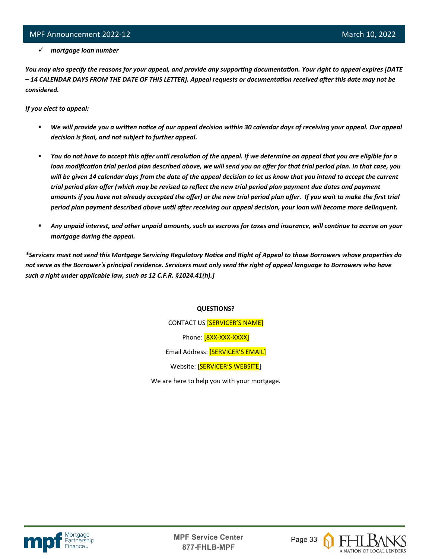#### *mortgage loan number*

*You may also specify the reasons for your appeal, and provide any supporting documentation. Your right to appeal expires [DATE – 14 CALENDAR DAYS FROM THE DATE OF THIS LETTER]. Appeal requests or documentation received after this date may not be considered.* 

*If you elect to appeal:*

l

- *We will provide you a written notice of our appeal decision within 30 calendar days of receiving your appeal. Our appeal decision is final, and not subject to further appeal.*
- *You do not have to accept this offer until resolution of the appeal. If we determine on appeal that you are eligible for a loan modification trial period plan described above, we will send you an offer for that trial period plan. In that case, you will be given 14 calendar days from the date of the appeal decision to let us know that you intend to accept the current trial period plan offer (which may be revised to reflect the new trial period plan payment due dates and payment amounts if you have not already accepted the offer) or the new trial period plan offer. If you wait to make the first trial period plan payment described above until after receiving our appeal decision, your loan will become more delinquent.*
- *Any unpaid interest, and other unpaid amounts, such as escrows for taxes and insurance, will continue to accrue on your mortgage during the appeal.*

*\*Servicers must not send this Mortgage Servicing Regulatory Notice and Right of Appeal to those Borrowers whose properties do not serve as the Borrower's principal residence. Servicers must only send the right of appeal language to Borrowers who have such a right under applicable law, such as 12 C.F.R. §1024.41(h).]*

#### **QUESTIONS?**

CONTACT US [SERVICER'S NAME] Phone: [8XX-XXX-XXXX] Email Address: [SERVICER'S EMAIL] Website: [SERVICER'S WEBSITE]

We are here to help you with your mortgage.



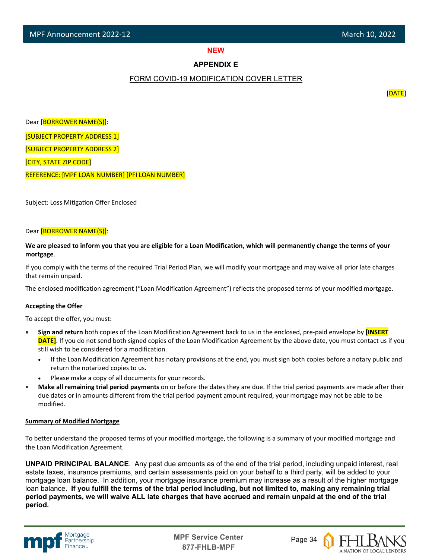# **NEW SERVICE STATE**

#### **APPENDIX E**

#### FORM COVID-19 MODIFICATION COVER LETTER

[DATE]

Dear [BORROWER NAME(S)]: [SUBJECT PROPERTY ADDRESS 1] [SUBJECT PROPERTY ADDRESS 2] [CITY, STATE ZIP CODE] REFERENCE: [MPF LOAN NUMBER] [PFI LOAN NUMBER]

Subject: Loss Mitigation Offer Enclosed

#### Dear [BORROWER NAME(S)]:

#### **We are pleased to inform you that you are eligible for a Loan Modification, which will permanently change the terms of your mortgage**.

If you comply with the terms of the required Trial Period Plan, we will modify your mortgage and may waive all prior late charges that remain unpaid.

The enclosed modification agreement ("Loan Modification Agreement") reflects the proposed terms of your modified mortgage.

#### **Accepting the Offer**

To accept the offer, you must:

- **Sign and return** both copies of the Loan Modification Agreement back to us in the enclosed, pre-paid envelope by **[INSERT DATE]**. If you do not send both signed copies of the Loan Modification Agreement by the above date, you must contact us if you still wish to be considered for a modification.
	- If the Loan Modification Agreement has notary provisions at the end, you must sign both copies before a notary public and return the notarized copies to us.
	- Please make a copy of all documents for your records.
- **Make all remaining trial period payments** on or before the dates they are due. If the trial period payments are made after their due dates or in amounts different from the trial period payment amount required, your mortgage may not be able to be modified.

#### **Summary of Modified Mortgage**

To better understand the proposed terms of your modified mortgage, the following is a summary of your modified mortgage and the Loan Modification Agreement.

**UNPAID PRINCIPAL BALANCE**. Any past due amounts as of the end of the trial period, including unpaid interest, real estate taxes, insurance premiums, and certain assessments paid on your behalf to a third party, will be added to your mortgage loan balance. In addition, your mortgage insurance premium may increase as a result of the higher mortgage loan balance. **If you fulfill the terms of the trial period including, but not limited to, making any remaining trial period payments, we will waive ALL late charges that have accrued and remain unpaid at the end of the trial period.**